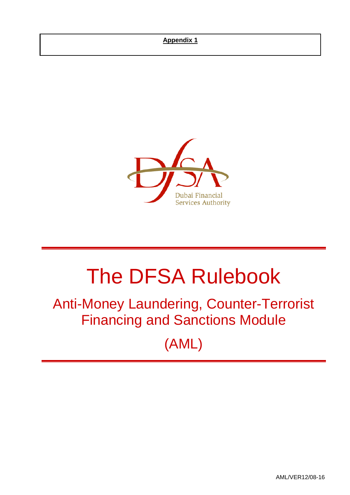### **Appendix 1**



# The DFSA Rulebook

## Anti-Money Laundering, Counter-Terrorist Financing and Sanctions Module

(AML)

AML/VER12/08-16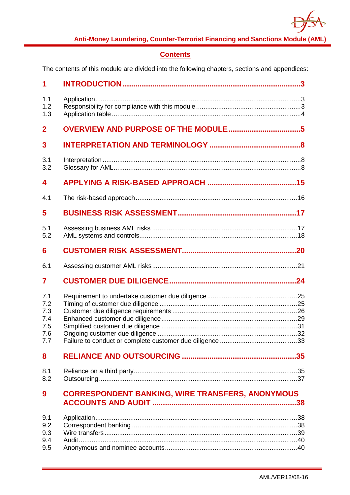

### **Contents**

The contents of this module are divided into the following chapters, sections and appendices:

| 1                                             |                                                         |
|-----------------------------------------------|---------------------------------------------------------|
| 1.1<br>1.2<br>1.3                             |                                                         |
| $\mathbf{2}$                                  |                                                         |
| 3                                             |                                                         |
| 3.1<br>3.2                                    |                                                         |
| 4                                             |                                                         |
| 4.1                                           |                                                         |
| 5                                             |                                                         |
| 5.1<br>5.2                                    |                                                         |
| 6                                             |                                                         |
| 6.1                                           |                                                         |
| $\overline{\mathbf{7}}$                       |                                                         |
| 7.1<br>7.2<br>7.3<br>7.4<br>7.5<br>7.6<br>7.7 |                                                         |
| 8                                             |                                                         |
| 8.1<br>8.2                                    |                                                         |
| 9                                             | <b>CORRESPONDENT BANKING, WIRE TRANSFERS, ANONYMOUS</b> |
| 9.1<br>9.2<br>9.3<br>9.4<br>9.5               |                                                         |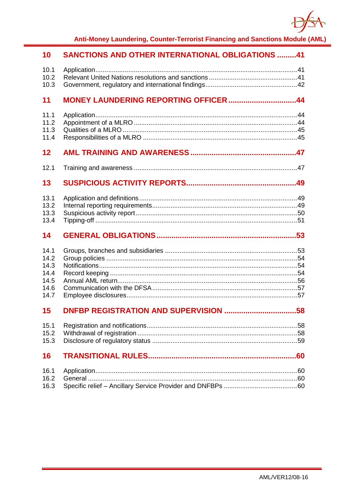

| 10                                                   | <b>SANCTIONS AND OTHER INTERNATIONAL OBLIGATIONS 41</b> |  |
|------------------------------------------------------|---------------------------------------------------------|--|
| 10.1<br>10.2<br>10.3                                 |                                                         |  |
| 11                                                   | MONEY LAUNDERING REPORTING OFFICER 44                   |  |
| 11.1<br>11.2<br>11.3<br>11.4                         |                                                         |  |
| 12                                                   |                                                         |  |
| 12.1                                                 |                                                         |  |
| 13                                                   |                                                         |  |
| 13.1<br>13.2<br>13.3<br>13.4                         |                                                         |  |
| 14                                                   |                                                         |  |
| 14.1<br>14.2<br>14.3<br>14.4<br>14.5<br>14.6<br>14.7 |                                                         |  |
| 15                                                   |                                                         |  |
| 15.1<br>15.2<br>15.3                                 |                                                         |  |
| 16                                                   |                                                         |  |
| 16.1<br>16.2<br>16.3                                 |                                                         |  |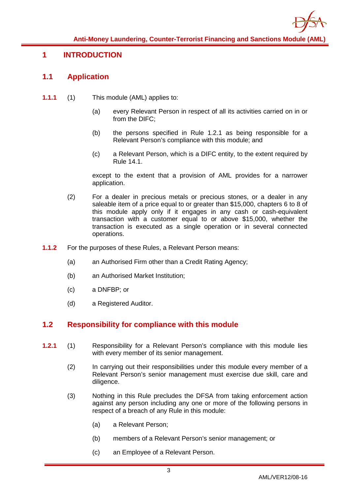

### <span id="page-3-1"></span><span id="page-3-0"></span>**1 INTRODUCTION**

### **1.1 Application**

- **1.1.1** (1) This module (AML) applies to:
	- (a) every Relevant Person in respect of all its activities carried on in or from the DIFC;
	- (b) the persons specified in Rule 1.2.1 as being responsible for a Relevant Person's compliance with this module; and
	- (c) a Relevant Person, which is a DIFC entity, to the extent required by Rule 14.1.

except to the extent that a provision of AML provides for a narrower application.

- (2) For a dealer in precious metals or precious stones, or a dealer in any saleable item of a price equal to or greater than \$15,000, chapters 6 to 8 of this module apply only if it engages in any cash or cash-equivalent transaction with a customer equal to or above \$15,000, whether the transaction is executed as a single operation or in several connected operations.
- **1.1.2** For the purposes of these Rules, a Relevant Person means:
	- (a) an Authorised Firm other than a Credit Rating Agency;
	- (b) an Authorised Market Institution;
	- (c) a DNFBP; or
	- (d) a Registered Auditor.

### <span id="page-3-2"></span>**1.2 Responsibility for compliance with this module**

- **1.2.1** (1) Responsibility for a Relevant Person's compliance with this module lies with every member of its senior management.
	- (2) In carrying out their responsibilities under this module every member of a Relevant Person's senior management must exercise due skill, care and diligence.
	- (3) Nothing in this Rule precludes the DFSA from taking enforcement action against any person including any one or more of the following persons in respect of a breach of any Rule in this module:
		- (a) a Relevant Person;
		- (b) members of a Relevant Person's senior management; or
		- (c) an Employee of a Relevant Person.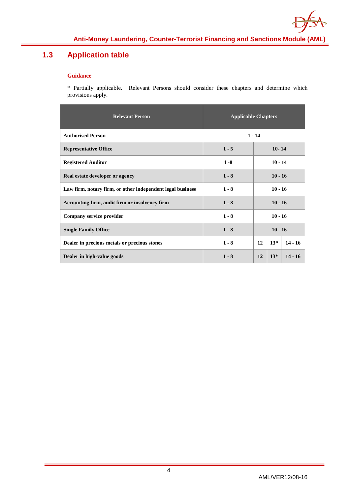

### <span id="page-4-0"></span>**1.3 Application table**

#### **Guidance**

\* Partially applicable. Relevant Persons should consider these chapters and determine which provisions apply.

| <b>Relevant Person</b>                                     | <b>Applicable Chapters</b> |                          |  |
|------------------------------------------------------------|----------------------------|--------------------------|--|
| <b>Authorised Person</b>                                   | $1 - 14$                   |                          |  |
| <b>Representative Office</b>                               | $1 - 5$                    | $10 - 14$                |  |
| <b>Registered Auditor</b>                                  | $1 - 8$                    | $10 - 14$                |  |
| Real estate developer or agency                            | $1 - 8$                    | $10 - 16$                |  |
| Law firm, notary firm, or other independent legal business | $1 - 8$                    | $10 - 16$                |  |
| Accounting firm, audit firm or insolvency firm             | $1 - 8$                    | $10 - 16$                |  |
| Company service provider                                   | $1 - 8$                    | $10 - 16$                |  |
| <b>Single Family Office</b>                                | $1 - 8$                    | $10 - 16$                |  |
| Dealer in precious metals or precious stones               | $1 - 8$                    | $14 - 16$<br>$13*$<br>12 |  |
| Dealer in high-value goods                                 | $1 - 8$                    | $13*$<br>$14 - 16$<br>12 |  |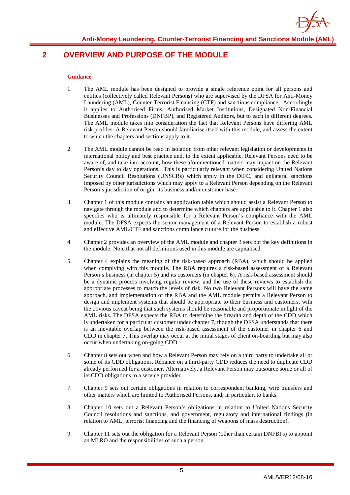

### <span id="page-5-0"></span>**2 OVERVIEW AND PURPOSE OF THE MODULE**

- 1. The AML module has been designed to provide a single reference point for all persons and entities (collectively called Relevant Persons) who are supervised by the DFSA for Anti-Money Laundering (AML), Counter-Terrorist Financing (CTF) and sanctions compliance. Accordingly it applies to Authorised Firms, Authorised Market Institutions, Designated Non-Financial Businesses and Professions (DNFBP), and Registered Auditors, but to each in different degrees. The AML module takes into consideration the fact that Relevant Persons have differing AML risk profiles. A Relevant Person should familiarise itself with this module, and assess the extent to which the chapters and sections apply to it.
- 2. The AML module cannot be read in isolation from other relevant legislation or developments in international policy and best practice and, to the extent applicable, Relevant Persons need to be aware of, and take into account, how these aforementioned matters may impact on the Relevant Person's day to day operations. This is particularly relevant when considering United Nations Security Council Resolutions (UNSCRs) which apply in the DIFC, and unilateral sanctions imposed by other jurisdictions which may apply to a Relevant Person depending on the Relevant Person's jurisdiction of origin, its business and/or customer base.
- 3. Chapter 1 of this module contains an application table which should assist a Relevant Person to navigate through the module and to determine which chapters are applicable to it. Chapter 1 also specifies who is ultimately responsible for a Relevant Person's compliance with the AML module. The DFSA expects the senior management of a Relevant Person to establish a robust and effective AML/CTF and sanctions compliance culture for the business.
- 4. Chapter 2 provides an overview of the AML module and chapter 3 sets out the key definitions in the module. Note that not all definitions used in this module are capitalised.
- 5. Chapter 4 explains the meaning of the risk-based approach (RBA), which should be applied when complying with this module. The RBA requires a risk-based assessment of a Relevant Person's business (in chapter 5) and its customers (in chapter 6). A risk-based assessment should be a dynamic process involving regular review, and the use of these reviews to establish the appropriate processes to match the levels of risk. No two Relevant Persons will have the same approach, and implementation of the RBA and the AML module permits a Relevant Person to design and implement systems that should be appropriate to their business and customers, with the obvious caveat being that such systems should be reasonable and proportionate in light of the AML risks. The DFSA expects the RBA to determine the breadth and depth of the CDD which is undertaken for a particular customer under chapter 7, though the DFSA understands that there is an inevitable overlap between the risk-based assessment of the customer in chapter 6 and CDD in chapter 7. This overlap may occur at the initial stages of client on-boarding but may also occur when undertaking on-going CDD.
- 6. Chapter 8 sets out when and how a Relevant Person may rely on a third party to undertake all or some of its CDD obligations. Reliance on a third-party CDD reduces the need to duplicate CDD already performed for a customer. Alternatively, a Relevant Person may outsource some or all of its CDD obligations to a service provider.
- 7. Chapter 9 sets out certain obligations in relation to correspondent banking, wire transfers and other matters which are limited to Authorised Persons, and, in particular, to banks.
- 8. Chapter 10 sets out a Relevant Person's obligations in relation to United Nations Security Council resolutions and sanctions, and government, regulatory and international findings (in relation to AML, terrorist financing and the financing of weapons of mass destruction).
- 9. Chapter 11 sets out the obligation for a Relevant Person (other than certain DNFBPs) to appoint an MLRO and the responsibilities of such a person.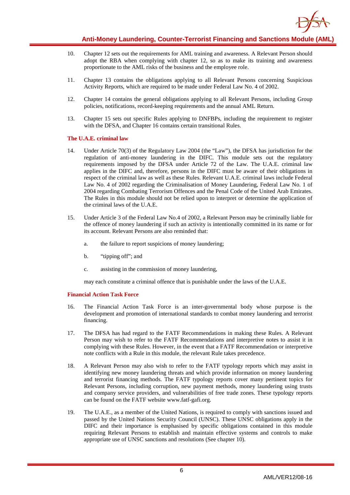

- 10. Chapter 12 sets out the requirements for AML training and awareness. A Relevant Person should adopt the RBA when complying with chapter 12, so as to make its training and awareness proportionate to the AML risks of the business and the employee role.
- 11. Chapter 13 contains the obligations applying to all Relevant Persons concerning Suspicious Activity Reports, which are required to be made under Federal Law No. 4 of 2002.
- 12. Chapter 14 contains the general obligations applying to all Relevant Persons, including Group policies, notifications, record-keeping requirements and the annual AML Return.
- 13. Chapter 15 sets out specific Rules applying to DNFBPs, including the requirement to register with the DFSA, and Chapter 16 contains certain transitional Rules.

#### **The U.A.E. criminal law**

- 14. Under Article 70(3) of the Regulatory Law 2004 (the "Law"), the DFSA has jurisdiction for the regulation of anti-money laundering in the DIFC. This module sets out the regulatory requirements imposed by the DFSA under Article 72 of the Law. The U.A.E. criminal law applies in the DIFC and, therefore, persons in the DIFC must be aware of their obligations in respect of the criminal law as well as these Rules. Relevant U.A.E. criminal laws include Federal Law No. 4 of 2002 regarding the Criminalisation of Money Laundering, Federal Law No. 1 of 2004 regarding Combating Terrorism Offences and the Penal Code of the United Arab Emirates. The Rules in this module should not be relied upon to interpret or determine the application of the criminal laws of the U.A.E.
- 15. Under Article 3 of the Federal Law No.4 of 2002, a Relevant Person may be criminally liable for the offence of money laundering if such an activity is intentionally committed in its name or for its account. Relevant Persons are also reminded that:
	- a. the failure to report suspicions of money laundering;
	- b. "tipping off"; and
	- c. assisting in the commission of money laundering,

may each constitute a criminal offence that is punishable under the laws of the U.A.E.

#### **Financial Action Task Force**

- 16. The Financial Action Task Force is an inter-governmental body whose purpose is the development and promotion of international standards to combat money laundering and terrorist financing.
- 17. The DFSA has had regard to the FATF Recommendations in making these Rules. A Relevant Person may wish to refer to the FATF Recommendations and interpretive notes to assist it in complying with these Rules. However, in the event that a FATF Recommendation or interpretive note conflicts with a Rule in this module, the relevant Rule takes precedence.
- 18. A Relevant Person may also wish to refer to the FATF typology reports which may assist in identifying new money laundering threats and which provide information on money laundering and terrorist financing methods. The FATF typology reports cover many pertinent topics for Relevant Persons, including corruption, new payment methods, money laundering using trusts and company service providers, and vulnerabilities of free trade zones. These typology reports can be found on the FATF website www.fatf-gafi.org.
- 19. The U.A.E., as a member of the United Nations, is required to comply with sanctions issued and passed by the United Nations Security Council (UNSC). These UNSC obligations apply in the DIFC and their importance is emphasised by specific obligations contained in this module requiring Relevant Persons to establish and maintain effective systems and controls to make appropriate use of UNSC sanctions and resolutions (See chapter 10).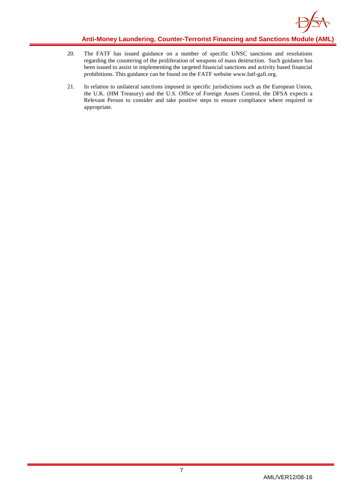

- 20. The FATF has issued guidance on a number of specific UNSC sanctions and resolutions regarding the countering of the proliferation of weapons of mass destruction. Such guidance has been issued to assist in implementing the targeted financial sanctions and activity based financial prohibitions. This guidance can be found on the FATF website www.fatf-gafi.org.
- 21. In relation to unilateral sanctions imposed in specific jurisdictions such as the European Union, the U.K. (HM Treasury) and the U.S. Office of Foreign Assets Control, the DFSA expects a Relevant Person to consider and take positive steps to ensure compliance where required or appropriate.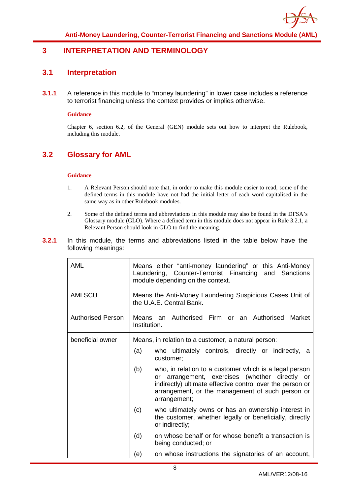

### <span id="page-8-1"></span><span id="page-8-0"></span>**3 INTERPRETATION AND TERMINOLOGY**

### **3.1 Interpretation**

**3.1.1** A reference in this module to "money laundering" in lower case includes a reference to terrorist financing unless the context provides or implies otherwise.

#### **Guidance**

Chapter 6, section 6.2, of the General (GEN) module sets out how to interpret the Rulebook, including this module.

### <span id="page-8-2"></span>**3.2 Glossary for AML**

#### **Guidance**

- 1. A Relevant Person should note that, in order to make this module easier to read, some of the defined terms in this module have not had the initial letter of each word capitalised in the same way as in other Rulebook modules.
- 2. Some of the defined terms and abbreviations in this module may also be found in the DFSA's Glossary module (GLO). Where a defined term in this module does not appear in Rule 3.2.1, a Relevant Person should look in GLO to find the meaning.

#### **3.2.1** In this module, the terms and abbreviations listed in the table below have the following meanings:

| <b>AML</b>        |              | Means either "anti-money laundering" or this Anti-Money<br>Laundering, Counter-Terrorist Financing and Sanctions<br>module depending on the context.                                                                                      |
|-------------------|--------------|-------------------------------------------------------------------------------------------------------------------------------------------------------------------------------------------------------------------------------------------|
| <b>AMLSCU</b>     |              | Means the Anti-Money Laundering Suspicious Cases Unit of<br>the U.A.E. Central Bank.                                                                                                                                                      |
| Authorised Person | Institution. | Means an Authorised Firm or an Authorised<br>Market                                                                                                                                                                                       |
| beneficial owner  | (a)          | Means, in relation to a customer, a natural person:<br>who ultimately controls, directly or indirectly, a<br>customer;                                                                                                                    |
|                   | (b)          | who, in relation to a customer which is a legal person<br>or arrangement, exercises (whether directly or<br>indirectly) ultimate effective control over the person or<br>arrangement, or the management of such person or<br>arrangement; |
|                   | (c)          | who ultimately owns or has an ownership interest in<br>the customer, whether legally or beneficially, directly<br>or indirectly;                                                                                                          |
|                   | (d)          | on whose behalf or for whose benefit a transaction is<br>being conducted; or                                                                                                                                                              |
|                   | e)           | on whose instructions the signatories of an account,                                                                                                                                                                                      |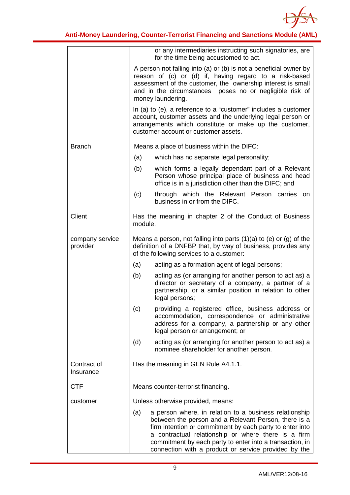

|                             | or any intermediaries instructing such signatories, are<br>for the time being accustomed to act.                                                                                                                                                                                                                                                             |  |  |
|-----------------------------|--------------------------------------------------------------------------------------------------------------------------------------------------------------------------------------------------------------------------------------------------------------------------------------------------------------------------------------------------------------|--|--|
|                             | A person not falling into (a) or (b) is not a beneficial owner by<br>reason of (c) or (d) if, having regard to a risk-based<br>assessment of the customer, the ownership interest is small<br>and in the circumstances poses no or negligible risk of<br>money laundering.                                                                                   |  |  |
|                             | In (a) to (e), a reference to a "customer" includes a customer<br>account, customer assets and the underlying legal person or<br>arrangements which constitute or make up the customer,<br>customer account or customer assets.                                                                                                                              |  |  |
| <b>Branch</b>               | Means a place of business within the DIFC:                                                                                                                                                                                                                                                                                                                   |  |  |
|                             | (a)<br>which has no separate legal personality;                                                                                                                                                                                                                                                                                                              |  |  |
|                             | (b)<br>which forms a legally dependant part of a Relevant<br>Person whose principal place of business and head<br>office is in a jurisdiction other than the DIFC; and                                                                                                                                                                                       |  |  |
|                             | (c)<br>through which the Relevant Person carries on<br>business in or from the DIFC.                                                                                                                                                                                                                                                                         |  |  |
| Client                      | Has the meaning in chapter 2 of the Conduct of Business<br>module.                                                                                                                                                                                                                                                                                           |  |  |
| company service<br>provider | Means a person, not falling into parts $(1)(a)$ to $(e)$ or $(g)$ of the<br>definition of a DNFBP that, by way of business, provides any<br>of the following services to a customer:                                                                                                                                                                         |  |  |
|                             | (a)<br>acting as a formation agent of legal persons;                                                                                                                                                                                                                                                                                                         |  |  |
|                             | acting as (or arranging for another person to act as) a<br>(b)<br>director or secretary of a company, a partner of a<br>partnership, or a similar position in relation to other<br>legal persons;                                                                                                                                                            |  |  |
|                             | providing a registered office, business address or<br>(c)<br>accommodation, correspondence or administrative<br>address for a company, a partnership or any other<br>legal person or arrangement; or                                                                                                                                                         |  |  |
|                             | acting as (or arranging for another person to act as) a<br>(d)<br>nominee shareholder for another person.                                                                                                                                                                                                                                                    |  |  |
| Contract of<br>Insurance    | Has the meaning in GEN Rule A4.1.1.                                                                                                                                                                                                                                                                                                                          |  |  |
| <b>CTF</b>                  | Means counter-terrorist financing.                                                                                                                                                                                                                                                                                                                           |  |  |
| customer                    | Unless otherwise provided, means:                                                                                                                                                                                                                                                                                                                            |  |  |
|                             | a person where, in relation to a business relationship<br>(a)<br>between the person and a Relevant Person, there is a<br>firm intention or commitment by each party to enter into<br>a contractual relationship or where there is a firm<br>commitment by each party to enter into a transaction, in<br>connection with a product or service provided by the |  |  |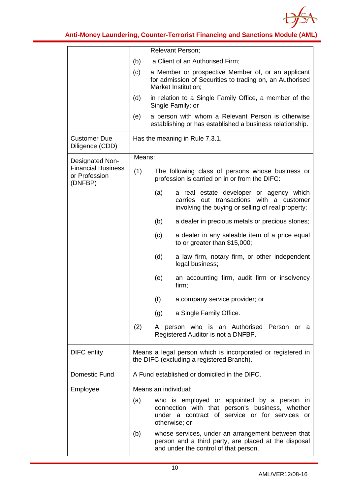

|                                                       |                                | Relevant Person;                                                                                                                                                  |
|-------------------------------------------------------|--------------------------------|-------------------------------------------------------------------------------------------------------------------------------------------------------------------|
|                                                       | (b)                            | a Client of an Authorised Firm;                                                                                                                                   |
|                                                       | (c)                            | a Member or prospective Member of, or an applicant<br>for admission of Securities to trading on, an Authorised<br>Market Institution;                             |
|                                                       | (d)                            | in relation to a Single Family Office, a member of the<br>Single Family; or                                                                                       |
|                                                       | (e)                            | a person with whom a Relevant Person is otherwise<br>establishing or has established a business relationship.                                                     |
| <b>Customer Due</b><br>Diligence (CDD)                | Has the meaning in Rule 7.3.1. |                                                                                                                                                                   |
| Designated Non-                                       | Means:                         |                                                                                                                                                                   |
| <b>Financial Business</b><br>or Profession<br>(DNFBP) | (1)                            | The following class of persons whose business or<br>profession is carried on in or from the DIFC:                                                                 |
|                                                       |                                | a real estate developer or agency which<br>(a)<br>carries out transactions with a customer<br>involving the buying or selling of real property;                   |
|                                                       |                                | (b)<br>a dealer in precious metals or precious stones;                                                                                                            |
|                                                       |                                | (c)<br>a dealer in any saleable item of a price equal<br>to or greater than \$15,000;                                                                             |
|                                                       |                                | (d)<br>a law firm, notary firm, or other independent<br>legal business;                                                                                           |
|                                                       |                                | an accounting firm, audit firm or insolvency<br>(e)<br>firm;                                                                                                      |
|                                                       |                                | (f)<br>a company service provider; or                                                                                                                             |
|                                                       |                                | a Single Family Office.<br>(g)                                                                                                                                    |
|                                                       | (2)                            | A person who is an Authorised Person or a<br>Registered Auditor is not a DNFBP.                                                                                   |
| <b>DIFC</b> entity                                    |                                | Means a legal person which is incorporated or registered in<br>the DIFC (excluding a registered Branch).                                                          |
| Domestic Fund                                         |                                | A Fund established or domiciled in the DIFC.                                                                                                                      |
| Employee                                              |                                | Means an individual:                                                                                                                                              |
|                                                       | (a)                            | who is employed or appointed by a person in<br>connection with that person's business, whether<br>under a contract of service or for services or<br>otherwise; or |
|                                                       | (b)                            | whose services, under an arrangement between that<br>person and a third party, are placed at the disposal<br>and under the control of that person.                |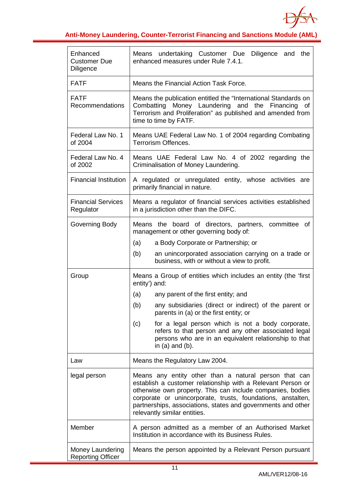

| Enhanced<br><b>Customer Due</b><br><b>Diligence</b> | Means undertaking Customer Due<br>Diligence and the<br>enhanced measures under Rule 7.4.1.                                                                                                                                                                                                                                                        |  |  |
|-----------------------------------------------------|---------------------------------------------------------------------------------------------------------------------------------------------------------------------------------------------------------------------------------------------------------------------------------------------------------------------------------------------------|--|--|
| <b>FATF</b>                                         | Means the Financial Action Task Force.                                                                                                                                                                                                                                                                                                            |  |  |
| <b>FATF</b><br>Recommendations                      | Means the publication entitled the "International Standards on<br>Combatting Money Laundering and the<br>Financing<br>of<br>Terrorism and Proliferation" as published and amended from<br>time to time by FATF.                                                                                                                                   |  |  |
| Federal Law No. 1<br>of 2004                        | Means UAE Federal Law No. 1 of 2004 regarding Combating<br>Terrorism Offences.                                                                                                                                                                                                                                                                    |  |  |
| Federal Law No. 4<br>of 2002                        | Means UAE Federal Law No. 4 of 2002 regarding the<br>Criminalisation of Money Laundering.                                                                                                                                                                                                                                                         |  |  |
| <b>Financial Institution</b>                        | A regulated or unregulated entity, whose activities are<br>primarily financial in nature.                                                                                                                                                                                                                                                         |  |  |
| <b>Financial Services</b><br>Regulator              | Means a regulator of financial services activities established<br>in a jurisdiction other than the DIFC.                                                                                                                                                                                                                                          |  |  |
| Governing Body                                      | Means the board of directors, partners, committee<br>of<br>management or other governing body of:<br>(a)<br>a Body Corporate or Partnership; or<br>an unincorporated association carrying on a trade or<br>(b)<br>business, with or without a view to profit.                                                                                     |  |  |
| Group                                               | Means a Group of entities which includes an entity (the 'first<br>entity') and:                                                                                                                                                                                                                                                                   |  |  |
|                                                     | (a)<br>any parent of the first entity; and                                                                                                                                                                                                                                                                                                        |  |  |
|                                                     | (b)<br>any subsidiaries (direct or indirect) of the parent or<br>parents in (a) or the first entity; or                                                                                                                                                                                                                                           |  |  |
|                                                     | for a legal person which is not a body corporate,<br>(c)<br>refers to that person and any other associated legal<br>persons who are in an equivalent relationship to that<br>in $(a)$ and $(b)$ .                                                                                                                                                 |  |  |
| Law                                                 | Means the Regulatory Law 2004.                                                                                                                                                                                                                                                                                                                    |  |  |
| legal person                                        | Means any entity other than a natural person that can<br>establish a customer relationship with a Relevant Person or<br>otherwise own property. This can include companies, bodies<br>corporate or unincorporate, trusts, foundations, anstalten,<br>partnerships, associations, states and governments and other<br>relevantly similar entities. |  |  |
| Member                                              | A person admitted as a member of an Authorised Market<br>Institution in accordance with its Business Rules.                                                                                                                                                                                                                                       |  |  |
| Money Laundering<br><b>Reporting Officer</b>        | Means the person appointed by a Relevant Person pursuant                                                                                                                                                                                                                                                                                          |  |  |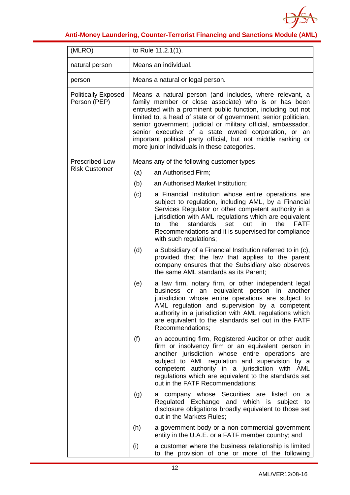

| (MLRO)                                     |     | to Rule 11.2.1(1).                                                                                                                                                                                                                                                                                                                                                                                                                                                                             |
|--------------------------------------------|-----|------------------------------------------------------------------------------------------------------------------------------------------------------------------------------------------------------------------------------------------------------------------------------------------------------------------------------------------------------------------------------------------------------------------------------------------------------------------------------------------------|
| natural person                             |     | Means an individual.                                                                                                                                                                                                                                                                                                                                                                                                                                                                           |
| person                                     |     | Means a natural or legal person.                                                                                                                                                                                                                                                                                                                                                                                                                                                               |
| <b>Politically Exposed</b><br>Person (PEP) |     | Means a natural person (and includes, where relevant, a<br>family member or close associate) who is or has been<br>entrusted with a prominent public function, including but not<br>limited to, a head of state or of government, senior politician,<br>senior government, judicial or military official, ambassador,<br>senior executive of a state owned corporation, or an<br>important political party official, but not middle ranking or<br>more junior individuals in these categories. |
| <b>Prescribed Low</b>                      |     | Means any of the following customer types:                                                                                                                                                                                                                                                                                                                                                                                                                                                     |
| <b>Risk Customer</b>                       | (a) | an Authorised Firm;                                                                                                                                                                                                                                                                                                                                                                                                                                                                            |
|                                            | (b) | an Authorised Market Institution;                                                                                                                                                                                                                                                                                                                                                                                                                                                              |
|                                            | (c) | a Financial Institution whose entire operations are<br>subject to regulation, including AML, by a Financial<br>Services Regulator or other competent authority in a<br>jurisdiction with AML regulations which are equivalent<br>the<br>standards<br>set<br>out<br>in<br>the<br><b>FATF</b><br>to<br>Recommendations and it is supervised for compliance<br>with such regulations;                                                                                                             |
|                                            | (d) | a Subsidiary of a Financial Institution referred to in (c),<br>provided that the law that applies to the parent<br>company ensures that the Subsidiary also observes<br>the same AML standards as its Parent;                                                                                                                                                                                                                                                                                  |
|                                            | (e) | a law firm, notary firm, or other independent legal<br>or an equivalent person in another<br>business<br>jurisdiction whose entire operations are subject to<br>AML regulation and supervision by a competent<br>authority in a jurisdiction with AML regulations which<br>are equivalent to the standards set out in the FATF<br>Recommendations;                                                                                                                                             |
|                                            | (f) | an accounting firm, Registered Auditor or other audit<br>firm or insolvency firm or an equivalent person in<br>another jurisdiction whose entire operations are<br>subject to AML regulation and supervision by a<br>competent authority in a jurisdiction with AML<br>regulations which are equivalent to the standards set<br>out in the FATF Recommendations;                                                                                                                               |
|                                            | (g) | a company whose Securities are listed<br>on.<br>a<br>Regulated Exchange and which is subject<br>to<br>disclosure obligations broadly equivalent to those set<br>out in the Markets Rules;                                                                                                                                                                                                                                                                                                      |
|                                            | (h) | a government body or a non-commercial government<br>entity in the U.A.E. or a FATF member country; and                                                                                                                                                                                                                                                                                                                                                                                         |
|                                            | (i) | a customer where the business relationship is limited<br>to the provision of one or more of the following                                                                                                                                                                                                                                                                                                                                                                                      |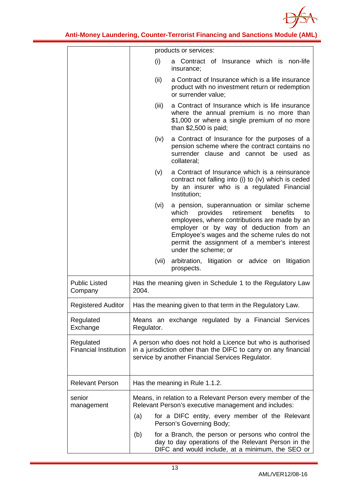

|                                           | products or services:                                                                                                                                                                                                                                                                                                        |
|-------------------------------------------|------------------------------------------------------------------------------------------------------------------------------------------------------------------------------------------------------------------------------------------------------------------------------------------------------------------------------|
|                                           | (i)<br>Contract of Insurance which is non-life<br>a<br>insurance;                                                                                                                                                                                                                                                            |
|                                           | (ii)<br>a Contract of Insurance which is a life insurance<br>product with no investment return or redemption<br>or surrender value;                                                                                                                                                                                          |
|                                           | a Contract of Insurance which is life insurance<br>(iii)<br>where the annual premium is no more than<br>\$1,000 or where a single premium of no more<br>than $$2,500$ is paid;                                                                                                                                               |
|                                           | a Contract of Insurance for the purposes of a<br>(iv)<br>pension scheme where the contract contains no<br>surrender clause and cannot be used as<br>collateral;                                                                                                                                                              |
|                                           | a Contract of Insurance which is a reinsurance<br>(v)<br>contract not falling into (i) to (iv) which is ceded<br>by an insurer who is a regulated Financial<br>Institution;                                                                                                                                                  |
|                                           | (vi)<br>a pension, superannuation or similar scheme<br>retirement<br>which<br>provides<br>benefits<br>to<br>employees, where contributions are made by an<br>employer or by way of deduction from an<br>Employee's wages and the scheme rules do not<br>permit the assignment of a member's interest<br>under the scheme; or |
|                                           | (vii)<br>arbitration,<br>litigation or advice on litigation<br>prospects.                                                                                                                                                                                                                                                    |
| <b>Public Listed</b><br>Company           | Has the meaning given in Schedule 1 to the Regulatory Law<br>2004.                                                                                                                                                                                                                                                           |
| <b>Registered Auditor</b>                 | Has the meaning given to that term in the Regulatory Law.                                                                                                                                                                                                                                                                    |
| Regulated<br>Exchange                     | Means an exchange regulated by a Financial Services<br>Regulator.                                                                                                                                                                                                                                                            |
| Regulated<br><b>Financial Institution</b> | A person who does not hold a Licence but who is authorised<br>in a jurisdiction other than the DIFC to carry on any financial<br>service by another Financial Services Regulator.                                                                                                                                            |
| <b>Relevant Person</b>                    | Has the meaning in Rule 1.1.2.                                                                                                                                                                                                                                                                                               |
| senior<br>management                      | Means, in relation to a Relevant Person every member of the<br>Relevant Person's executive management and includes:                                                                                                                                                                                                          |
|                                           | for a DIFC entity, every member of the Relevant<br>(a)<br>Person's Governing Body;                                                                                                                                                                                                                                           |
|                                           | (b)<br>for a Branch, the person or persons who control the<br>day to day operations of the Relevant Person in the<br>DIFC and would include, at a minimum, the SEO or                                                                                                                                                        |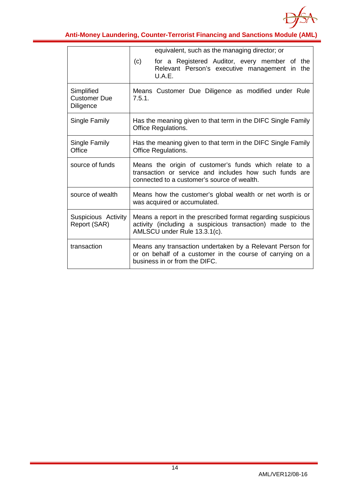

|                                                | equivalent, such as the managing director; or                                                                                                                   |
|------------------------------------------------|-----------------------------------------------------------------------------------------------------------------------------------------------------------------|
|                                                | for a Registered Auditor, every member of the<br>(c)<br>Relevant Person's executive management in<br>the<br>U.A.E.                                              |
| Simplified<br><b>Customer Due</b><br>Diligence | Means Customer Due Diligence as modified under Rule<br>7.5.1.                                                                                                   |
| Single Family                                  | Has the meaning given to that term in the DIFC Single Family<br>Office Regulations.                                                                             |
| Single Family<br>Office                        | Has the meaning given to that term in the DIFC Single Family<br><b>Office Regulations.</b>                                                                      |
| source of funds                                | Means the origin of customer's funds which relate to a<br>transaction or service and includes how such funds are<br>connected to a customer's source of wealth. |
| source of wealth                               | Means how the customer's global wealth or net worth is or<br>was acquired or accumulated.                                                                       |
| Suspicious Activity<br>Report (SAR)            | Means a report in the prescribed format regarding suspicious<br>activity (including a suspicious transaction) made to the<br>AMLSCU under Rule 13.3.1(c).       |
| transaction                                    | Means any transaction undertaken by a Relevant Person for<br>or on behalf of a customer in the course of carrying on a<br>business in or from the DIFC.         |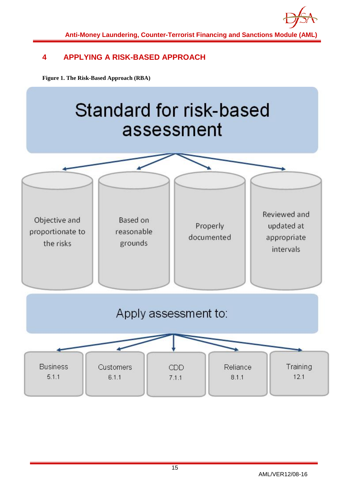

### <span id="page-15-0"></span>**4 APPLYING A RISK-BASED APPROACH**

**Figure 1. The Risk-Based Approach (RBA)**

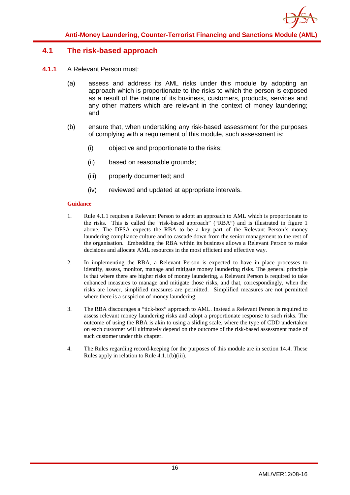### <span id="page-16-0"></span>**4.1 The risk-based approach**

- **4.1.1** A Relevant Person must:
	- (a) assess and address its AML risks under this module by adopting an approach which is proportionate to the risks to which the person is exposed as a result of the nature of its business, customers, products, services and any other matters which are relevant in the context of money laundering; and
	- (b) ensure that, when undertaking any risk-based assessment for the purposes of complying with a requirement of this module, such assessment is:
		- (i) objective and proportionate to the risks;
		- (ii) based on reasonable grounds;
		- (iii) properly documented; and
		- (iv) reviewed and updated at appropriate intervals.

- 1. Rule 4.1.1 requires a Relevant Person to adopt an approach to AML which is proportionate to the risks. This is called the "risk-based approach" ("RBA") and is illustrated in figure 1 above. The DFSA expects the RBA to be a key part of the Relevant Person's money laundering compliance culture and to cascade down from the senior management to the rest of the organisation. Embedding the RBA within its business allows a Relevant Person to make decisions and allocate AML resources in the most efficient and effective way.
- 2. In implementing the RBA, a Relevant Person is expected to have in place processes to identify, assess, monitor, manage and mitigate money laundering risks. The general principle is that where there are higher risks of money laundering, a Relevant Person is required to take enhanced measures to manage and mitigate those risks, and that, correspondingly, when the risks are lower, simplified measures are permitted. Simplified measures are not permitted where there is a suspicion of money laundering.
- 3. The RBA discourages a "tick-box" approach to AML. Instead a Relevant Person is required to assess relevant money laundering risks and adopt a proportionate response to such risks. The outcome of using the RBA is akin to using a sliding scale, where the type of CDD undertaken on each customer will ultimately depend on the outcome of the risk-based assessment made of such customer under this chapter.
- 4. The Rules regarding record-keeping for the purposes of this module are in section 14.4. These Rules apply in relation to Rule 4.1.1(b)(iii).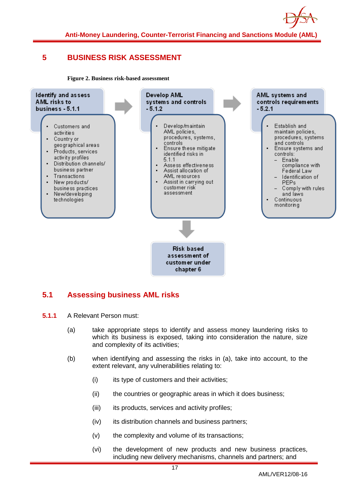

### <span id="page-17-0"></span>**5 BUSINESS RISK ASSESSMENT**

**Figure 2. Business risk-based assessment**



### <span id="page-17-1"></span>**5.1 Assessing business AML risks**

- **5.1.1** A Relevant Person must:
	- (a) take appropriate steps to identify and assess money laundering risks to which its business is exposed, taking into consideration the nature, size and complexity of its activities;
	- (b) when identifying and assessing the risks in (a), take into account, to the extent relevant, any vulnerabilities relating to:
		- (i) its type of customers and their activities;
		- (ii) the countries or geographic areas in which it does business;
		- (iii) its products, services and activity profiles;
		- (iv) its distribution channels and business partners;
		- (v) the complexity and volume of its transactions;
		- (vi) the development of new products and new business practices, including new delivery mechanisms, channels and partners; and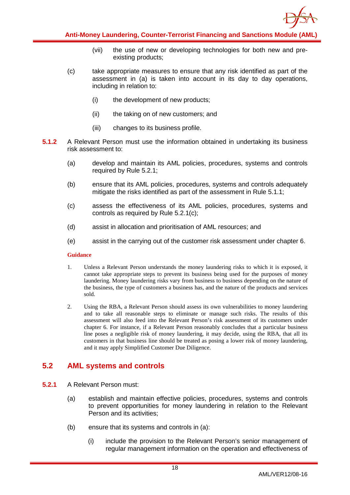

- (vii) the use of new or developing technologies for both new and preexisting products;
- (c) take appropriate measures to ensure that any risk identified as part of the assessment in (a) is taken into account in its day to day operations, including in relation to:
	- (i) the development of new products;
	- (ii) the taking on of new customers; and
	- (iii) changes to its business profile.
- **5.1.2** A Relevant Person must use the information obtained in undertaking its business risk assessment to:
	- (a) develop and maintain its AML policies, procedures, systems and controls required by Rule 5.2.1;
	- (b) ensure that its AML policies, procedures, systems and controls adequately mitigate the risks identified as part of the assessment in Rule 5.1.1;
	- (c) assess the effectiveness of its AML policies, procedures, systems and controls as required by Rule 5.2.1(c);
	- (d) assist in allocation and prioritisation of AML resources; and
	- (e) assist in the carrying out of the customer risk assessment under chapter 6.

#### **Guidance**

- 1. Unless a Relevant Person understands the money laundering risks to which it is exposed, it cannot take appropriate steps to prevent its business being used for the purposes of money laundering. Money laundering risks vary from business to business depending on the nature of the business, the type of customers a business has, and the nature of the products and services sold.
- 2. Using the RBA, a Relevant Person should assess its own vulnerabilities to money laundering and to take all reasonable steps to eliminate or manage such risks. The results of this assessment will also feed into the Relevant Person's risk assessment of its customers under chapter 6. For instance, if a Relevant Person reasonably concludes that a particular business line poses a negligible risk of money laundering, it may decide, using the RBA, that all its customers in that business line should be treated as posing a lower risk of money laundering, and it may apply Simplified Customer Due Diligence.

### <span id="page-18-0"></span>**5.2 AML systems and controls**

- **5.2.1** A Relevant Person must:
	- (a) establish and maintain effective policies, procedures, systems and controls to prevent opportunities for money laundering in relation to the Relevant Person and its activities;
	- (b) ensure that its systems and controls in (a):
		- (i) include the provision to the Relevant Person's senior management of regular management information on the operation and effectiveness of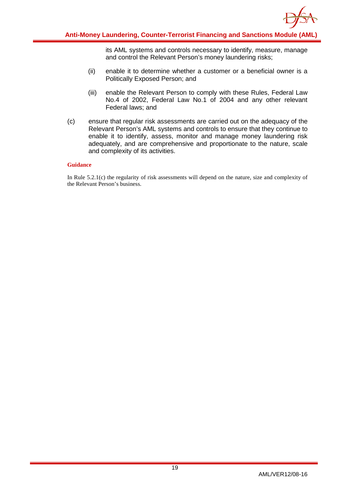

its AML systems and controls necessary to identify, measure, manage and control the Relevant Person's money laundering risks;

- (ii) enable it to determine whether a customer or a beneficial owner is a Politically Exposed Person; and
- (iii) enable the Relevant Person to comply with these Rules, Federal Law No.4 of 2002, Federal Law No.1 of 2004 and any other relevant Federal laws; and
- (c) ensure that regular risk assessments are carried out on the adequacy of the Relevant Person's AML systems and controls to ensure that they continue to enable it to identify, assess, monitor and manage money laundering risk adequately, and are comprehensive and proportionate to the nature, scale and complexity of its activities.

#### **Guidance**

In Rule 5.2.1(c) the regularity of risk assessments will depend on the nature, size and complexity of the Relevant Person's business.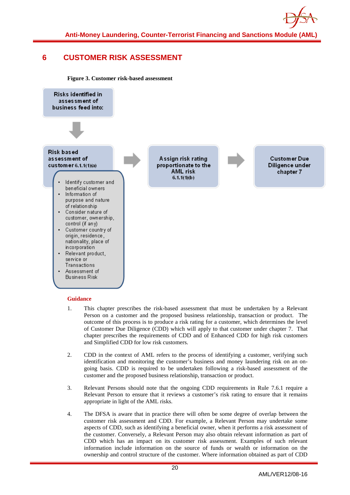

### <span id="page-20-0"></span>**6 CUSTOMER RISK ASSESSMENT**

**Figure 3. Customer risk-based assessment**



- 1. This chapter prescribes the risk-based assessment that must be undertaken by a Relevant Person on a customer and the proposed business relationship, transaction or product. The outcome of this process is to produce a risk rating for a customer, which determines the level of Customer Due Diligence (CDD) which will apply to that customer under chapter 7. That chapter prescribes the requirements of CDD and of Enhanced CDD for high risk customers and Simplified CDD for low risk customers.
- 2. CDD in the context of AML refers to the process of identifying a customer, verifying such identification and monitoring the customer's business and money laundering risk on an ongoing basis. CDD is required to be undertaken following a risk-based assessment of the customer and the proposed business relationship, transaction or product.
- 3. Relevant Persons should note that the ongoing CDD requirements in Rule 7.6.1 require a Relevant Person to ensure that it reviews a customer's risk rating to ensure that it remains appropriate in light of the AML risks.
- 4. The DFSA is aware that in practice there will often be some degree of overlap between the customer risk assessment and CDD. For example, a Relevant Person may undertake some aspects of CDD, such as identifying a beneficial owner, when it performs a risk assessment of the customer. Conversely, a Relevant Person may also obtain relevant information as part of CDD which has an impact on its customer risk assessment. Examples of such relevant information include information on the source of funds or wealth or information on the ownership and control structure of the customer. Where information obtained as part of CDD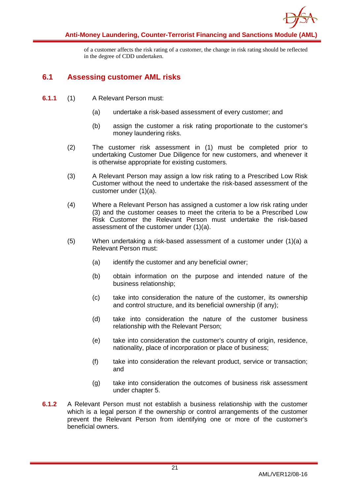

of a customer affects the risk rating of a customer, the change in risk rating should be reflected in the degree of CDD undertaken.

### <span id="page-21-0"></span>**6.1 Assessing customer AML risks**

- **6.1.1** (1) A Relevant Person must:
	- (a) undertake a risk-based assessment of every customer; and
	- (b) assign the customer a risk rating proportionate to the customer's money laundering risks.
	- (2) The customer risk assessment in (1) must be completed prior to undertaking Customer Due Diligence for new customers, and whenever it is otherwise appropriate for existing customers.
	- (3) A Relevant Person may assign a low risk rating to a Prescribed Low Risk Customer without the need to undertake the risk-based assessment of the customer under (1)(a).
	- (4) Where a Relevant Person has assigned a customer a low risk rating under (3) and the customer ceases to meet the criteria to be a Prescribed Low Risk Customer the Relevant Person must undertake the risk-based assessment of the customer under (1)(a).
	- (5) When undertaking a risk-based assessment of a customer under (1)(a) a Relevant Person must:
		- (a) identify the customer and any beneficial owner;
		- (b) obtain information on the purpose and intended nature of the business relationship;
		- (c) take into consideration the nature of the customer, its ownership and control structure, and its beneficial ownership (if any);
		- (d) take into consideration the nature of the customer business relationship with the Relevant Person;
		- (e) take into consideration the customer's country of origin, residence, nationality, place of incorporation or place of business;
		- (f) take into consideration the relevant product, service or transaction; and
		- (g) take into consideration the outcomes of business risk assessment under chapter 5.
- **6.1.2** A Relevant Person must not establish a business relationship with the customer which is a legal person if the ownership or control arrangements of the customer prevent the Relevant Person from identifying one or more of the customer's beneficial owners.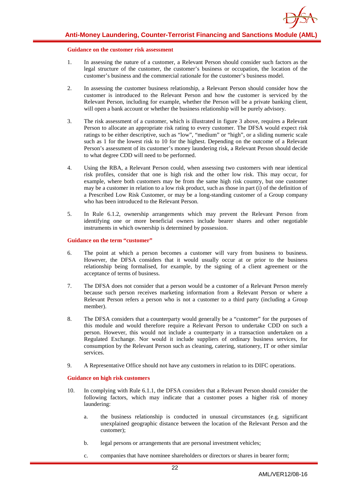#### **Guidance on the customer risk assessment**

- 1. In assessing the nature of a customer, a Relevant Person should consider such factors as the legal structure of the customer, the customer's business or occupation, the location of the customer's business and the commercial rationale for the customer's business model.
- 2. In assessing the customer business relationship, a Relevant Person should consider how the customer is introduced to the Relevant Person and how the customer is serviced by the Relevant Person, including for example, whether the Person will be a private banking client, will open a bank account or whether the business relationship will be purely advisory.
- 3. The risk assessment of a customer, which is illustrated in figure 3 above, requires a Relevant Person to allocate an appropriate risk rating to every customer. The DFSA would expect risk ratings to be either descriptive, such as "low", "medium" or "high", or a sliding numeric scale such as 1 for the lowest risk to 10 for the highest. Depending on the outcome of a Relevant Person's assessment of its customer's money laundering risk, a Relevant Person should decide to what degree CDD will need to be performed.
- 4. Using the RBA, a Relevant Person could, when assessing two customers with near identical risk profiles, consider that one is high risk and the other low risk. This may occur, for example, where both customers may be from the same high risk country, but one customer may be a customer in relation to a low risk product, such as those in part (i) of the definition of a Prescribed Low Risk Customer, or may be a long-standing customer of a Group company who has been introduced to the Relevant Person.
- 5. In Rule 6.1.2, ownership arrangements which may prevent the Relevant Person from identifying one or more beneficial owners include bearer shares and other negotiable instruments in which ownership is determined by possession.

#### **Guidance on the term "customer"**

- 6. The point at which a person becomes a customer will vary from business to business. However, the DFSA considers that it would usually occur at or prior to the business relationship being formalised, for example, by the signing of a client agreement or the acceptance of terms of business.
- 7. The DFSA does not consider that a person would be a customer of a Relevant Person merely because such person receives marketing information from a Relevant Person or where a Relevant Person refers a person who is not a customer to a third party (including a Group member).
- 8. The DFSA considers that a counterparty would generally be a "customer" for the purposes of this module and would therefore require a Relevant Person to undertake CDD on such a person. However, this would not include a counterparty in a transaction undertaken on a Regulated Exchange. Nor would it include suppliers of ordinary business services, for consumption by the Relevant Person such as cleaning, catering, stationery, IT or other similar services.
- 9. A Representative Office should not have any customers in relation to its DIFC operations.

#### **Guidance on high risk customers**

- 10. In complying with Rule 6.1.1, the DFSA considers that a Relevant Person should consider the following factors, which may indicate that a customer poses a higher risk of money laundering:
	- a. the business relationship is conducted in unusual circumstances (e.g. significant unexplained geographic distance between the location of the Relevant Person and the customer);
	- b. legal persons or arrangements that are personal investment vehicles;
	- c. companies that have nominee shareholders or directors or shares in bearer form;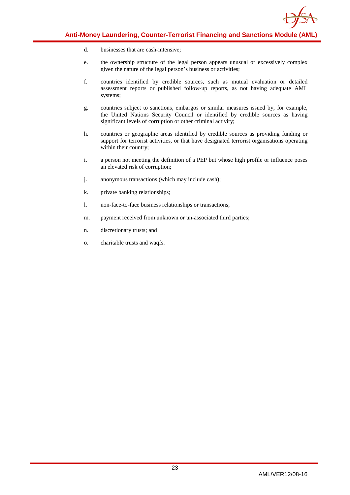

- d. businesses that are cash-intensive;
- e. the ownership structure of the legal person appears unusual or excessively complex given the nature of the legal person's business or activities;
- f. countries identified by credible sources, such as mutual evaluation or detailed assessment reports or published follow-up reports, as not having adequate AML systems;
- g. countries subject to sanctions, embargos or similar measures issued by, for example, the United Nations Security Council or identified by credible sources as having significant levels of corruption or other criminal activity;
- h. countries or geographic areas identified by credible sources as providing funding or support for terrorist activities, or that have designated terrorist organisations operating within their country;
- i. a person not meeting the definition of a PEP but whose high profile or influence poses an elevated risk of corruption;
- j. anonymous transactions (which may include cash);
- k. private banking relationships;
- l. non-face-to-face business relationships or transactions;
- m. payment received from unknown or un-associated third parties;
- n. discretionary trusts; and
- o. charitable trusts and waqfs.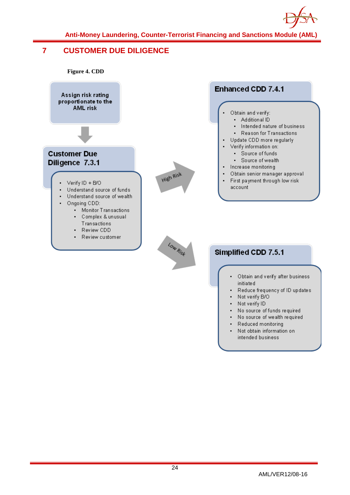

### <span id="page-24-0"></span>**7 CUSTOMER DUE DILIGENCE**

**Figure 4. CDD**



- Obtain and verify after business initiated
- Reduce frequency of ID updates
- Not verify B/O ×.
- ×. Not verify ID
- No source of funds required  $\mathbf{r}$  .
- . No source of wealth required
- ä. Reduced monitoring
- Not obtain information on  $\blacksquare$ intended business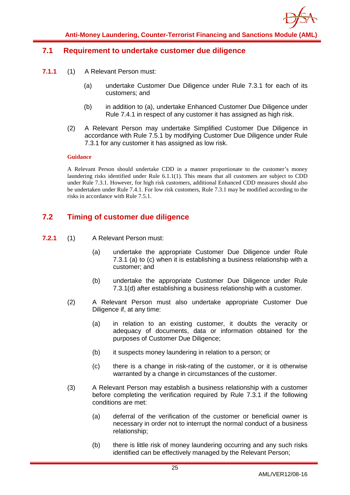

### <span id="page-25-0"></span>**7.1 Requirement to undertake customer due diligence**

- **7.1.1** (1) A Relevant Person must:
	- (a) undertake Customer Due Diligence under Rule 7.3.1 for each of its customers; and
	- (b) in addition to (a), undertake Enhanced Customer Due Diligence under Rule 7.4.1 in respect of any customer it has assigned as high risk.
	- (2) A Relevant Person may undertake Simplified Customer Due Diligence in accordance with Rule 7.5.1 by modifying Customer Due Diligence under Rule 7.3.1 for any customer it has assigned as low risk.

#### **Guidance**

A Relevant Person should undertake CDD in a manner proportionate to the customer's money laundering risks identified under Rule 6.1.1(1). This means that all customers are subject to CDD under Rule 7.3.1. However, for high risk customers, additional Enhanced CDD measures should also be undertaken under Rule 7.4.1. For low risk customers, Rule 7.3.1 may be modified according to the risks in accordance with Rule 7.5.1.

### <span id="page-25-1"></span>**7.2 Timing of customer due diligence**

- **7.2.1** (1) A Relevant Person must:
	- (a) undertake the appropriate Customer Due Diligence under Rule 7.3.1 (a) to (c) when it is establishing a business relationship with a customer; and
	- (b) undertake the appropriate Customer Due Diligence under Rule 7.3.1(d) after establishing a business relationship with a customer.
	- (2) A Relevant Person must also undertake appropriate Customer Due Diligence if, at any time:
		- (a) in relation to an existing customer, it doubts the veracity or adequacy of documents, data or information obtained for the purposes of Customer Due Diligence;
		- (b) it suspects money laundering in relation to a person; or
		- (c) there is a change in risk-rating of the customer, or it is otherwise warranted by a change in circumstances of the customer.
	- (3) A Relevant Person may establish a business relationship with a customer before completing the verification required by Rule 7.3.1 if the following conditions are met:
		- (a) deferral of the verification of the customer or beneficial owner is necessary in order not to interrupt the normal conduct of a business relationship;
		- (b) there is little risk of money laundering occurring and any such risks identified can be effectively managed by the Relevant Person;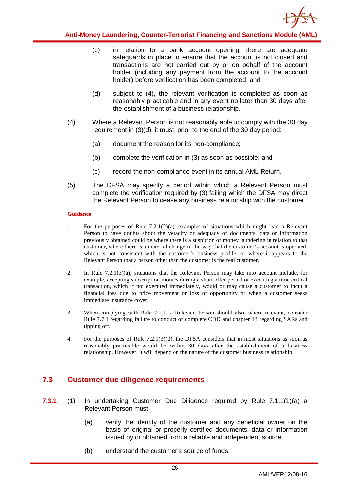

- (c) in relation to a bank account opening, there are adequate safeguards in place to ensure that the account is not closed and transactions are not carried out by or on behalf of the account holder (including any payment from the account to the account holder) before verification has been completed; and
- (d) subject to (4), the relevant verification is completed as soon as reasonably practicable and in any event no later than 30 days after the establishment of a business relationship.
- (4) Where a Relevant Person is not reasonably able to comply with the 30 day requirement in (3)(d), it must, prior to the end of the 30 day period:
	- (a) document the reason for its non-compliance;
	- (b) complete the verification in (3) as soon as possible; and
	- (c) record the non-compliance event in its annual AML Return.
- (5) The DFSA may specify a period within which a Relevant Person must complete the verification required by (3) failing which the DFSA may direct the Relevant Person to cease any business relationship with the customer.

#### **Guidance**

- 1. For the purposes of Rule 7.2.1(2)(a), examples of situations which might lead a Relevant Person to have doubts about the veracity or adequacy of documents, data or information previously obtained could be where there is a suspicion of money laundering in relation to that customer, where there is a material change in the way that the customer's account is operated, which is not consistent with the customer's business profile, or where it appears to the Relevant Person that a person other than the customer is the real customer.
- 2. In Rule 7.2.1(3)(a), situations that the Relevant Person may take into account include, for example, accepting subscription monies during a short offer period or executing a time critical transaction, which if not executed immediately, would or may cause a customer to incur a financial loss due to price movement or loss of opportunity or when a customer seeks immediate insurance cover.
- 3. When complying with Rule 7.2.1, a Relevant Person should also, where relevant, consider Rule 7.7.1 regarding failure to conduct or complete CDD and chapter 13 regarding SARs and tipping off.
- 4. For the purposes of Rule 7.2.1(3)(d), the DFSA considers that in most situations as soon as reasonably practicable would be within 30 days after the establishment of a business relationship. However, it will depend on the nature of the customer business relationship.

### <span id="page-26-0"></span>**7.3 Customer due diligence requirements**

- **7.3.1** (1) In undertaking Customer Due Diligence required by Rule 7.1.1(1)(a) a Relevant Person must:
	- (a) verify the identity of the customer and any beneficial owner on the basis of original or properly certified documents, data or information issued by or obtained from a reliable and independent source;
	- (b) understand the customer's source of funds;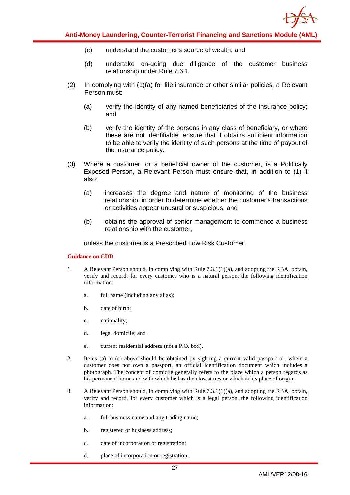

- (c) understand the customer's source of wealth; and
- (d) undertake on-going due diligence of the customer business relationship under Rule 7.6.1.
- (2) In complying with (1)(a) for life insurance or other similar policies, a Relevant Person must:
	- (a) verify the identity of any named beneficiaries of the insurance policy; and
	- (b) verify the identity of the persons in any class of beneficiary, or where these are not identifiable, ensure that it obtains sufficient information to be able to verify the identity of such persons at the time of payout of the insurance policy.
- (3) Where a customer, or a beneficial owner of the customer, is a Politically Exposed Person, a Relevant Person must ensure that, in addition to (1) it also:
	- (a) increases the degree and nature of monitoring of the business relationship, in order to determine whether the customer's transactions or activities appear unusual or suspicious; and
	- (b) obtains the approval of senior management to commence a business relationship with the customer,

unless the customer is a Prescribed Low Risk Customer.

#### **Guidance on CDD**

- 1. A Relevant Person should, in complying with Rule 7.3.1(1)(a), and adopting the RBA, obtain, verify and record, for every customer who is a natural person, the following identification information:
	- a. full name (including any alias);
	- b. date of birth;
	- c. nationality;
	- d. legal domicile; and
	- e. current residential address (not a P.O. box).
- 2. Items (a) to (c) above should be obtained by sighting a current valid passport or, where a customer does not own a passport, an official identification document which includes a photograph. The concept of domicile generally refers to the place which a person regards as his permanent home and with which he has the closest ties or which is his place of origin.
- 3. A Relevant Person should, in complying with Rule 7.3.1(1)(a), and adopting the RBA, obtain, verify and record, for every customer which is a legal person, the following identification information:
	- a. full business name and any trading name;
	- b. registered or business address;
	- c. date of incorporation or registration;
	- d. place of incorporation or registration;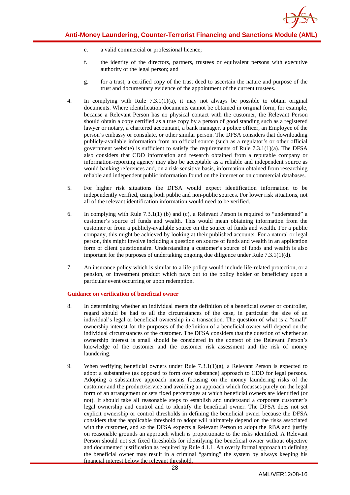- e. a valid commercial or professional licence;
- f. the identity of the directors, partners, trustees or equivalent persons with executive authority of the legal person; and
- g. for a trust, a certified copy of the trust deed to ascertain the nature and purpose of the trust and documentary evidence of the appointment of the current trustees.
- 4. In complying with Rule 7.3.1(1)(a), it may not always be possible to obtain original documents. Where identification documents cannot be obtained in original form, for example, because a Relevant Person has no physical contact with the customer, the Relevant Person should obtain a copy certified as a true copy by a person of good standing such as a registered lawyer or notary, a chartered accountant, a bank manager, a police officer, an Employee of the person's embassy or consulate, or other similar person. The DFSA considers that downloading publicly-available information from an official source (such as a regulator's or other official government website) is sufficient to satisfy the requirements of Rule  $7.3.1(1)(a)$ . The DFSA also considers that CDD information and research obtained from a reputable company or information-reporting agency may also be acceptable as a reliable and independent source as would banking references and, on a risk-sensitive basis, information obtained from researching reliable and independent public information found on the internet or on commercial databases.
- 5. For higher risk situations the DFSA would expect identification information to be independently verified, using both public and non-public sources. For lower risk situations, not all of the relevant identification information would need to be verified.
- 6. In complying with Rule 7.3.1(1) (b) and (c), a Relevant Person is required to "understand" a customer's source of funds and wealth. This would mean obtaining information from the customer or from a publicly-available source on the source of funds and wealth. For a public company, this might be achieved by looking at their published accounts. For a natural or legal person, this might involve including a question on source of funds and wealth in an application form or client questionnaire. Understanding a customer's source of funds and wealth is also important for the purposes of undertaking ongoing due diligence under Rule 7.3.1(1)(d).
- 7. An insurance policy which is similar to a life policy would include life-related protection, or a pension, or investment product which pays out to the policy holder or beneficiary upon a particular event occurring or upon redemption.

#### **Guidance on verification of beneficial owner**

- 8. In determining whether an individual meets the definition of a beneficial owner or controller, regard should be had to all the circumstances of the case, in particular the size of an individual's legal or beneficial ownership in a transaction. The question of what is a "small" ownership interest for the purposes of the definition of a beneficial owner will depend on the individual circumstances of the customer. The DFSA considers that the question of whether an ownership interest is small should be considered in the context of the Relevant Person's knowledge of the customer and the customer risk assessment and the risk of money laundering.
- 9. When verifying beneficial owners under Rule 7.3.1(1)(a), a Relevant Person is expected to adopt a substantive (as opposed to form over substance) approach to CDD for legal persons. Adopting a substantive approach means focusing on the money laundering risks of the customer and the product/service and avoiding an approach which focusses purely on the legal form of an arrangement or sets fixed percentages at which beneficial owners are identified (or not). It should take all reasonable steps to establish and understand a corporate customer's legal ownership and control and to identify the beneficial owner. The DFSA does not set explicit ownership or control thresholds in defining the beneficial owner because the DFSA considers that the applicable threshold to adopt will ultimately depend on the risks associated with the customer, and so the DFSA expects a Relevant Person to adopt the RBA and justify on reasonable grounds an approach which is proportionate to the risks identified. A Relevant Person should not set fixed thresholds for identifying the beneficial owner without objective and documented justification as required by Rule 4.1.1. An overly formal approach to defining the beneficial owner may result in a criminal "gaming" the system by always keeping his financial interest below the relevant threshold.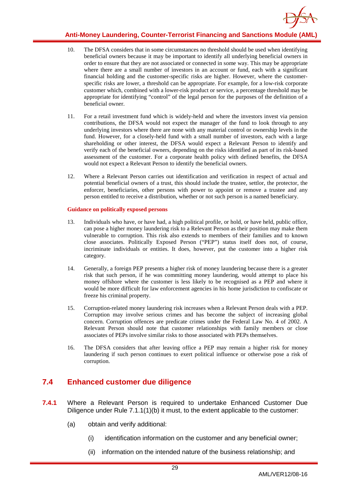

- 10. The DFSA considers that in some circumstances no threshold should be used when identifying beneficial owners because it may be important to identify all underlying beneficial owners in order to ensure that they are not associated or connected in some way. This may be appropriate where there are a small number of investors in an account or fund, each with a significant financial holding and the customer-specific risks are higher. However, where the customerspecific risks are lower, a threshold can be appropriate. For example, for a low-risk corporate customer which, combined with a lower-risk product or service, a percentage threshold may be appropriate for identifying "control" of the legal person for the purposes of the definition of a beneficial owner.
- 11. For a retail investment fund which is widely-held and where the investors invest via pension contributions, the DFSA would not expect the manager of the fund to look through to any underlying investors where there are none with any material control or ownership levels in the fund. However, for a closely-held fund with a small number of investors, each with a large shareholding or other interest, the DFSA would expect a Relevant Person to identify and verify each of the beneficial owners, depending on the risks identified as part of its risk-based assessment of the customer. For a corporate health policy with defined benefits, the DFSA would not expect a Relevant Person to identify the beneficial owners.
- 12. Where a Relevant Person carries out identification and verification in respect of actual and potential beneficial owners of a trust, this should include the trustee, settlor, the protector, the enforcer, beneficiaries, other persons with power to appoint or remove a trustee and any person entitled to receive a distribution, whether or not such person is a named beneficiary.

#### **Guidance on politically exposed persons**

- 13. Individuals who have, or have had, a high political profile, or hold, or have held, public office, can pose a higher money laundering risk to a Relevant Person as their position may make them vulnerable to corruption. This risk also extends to members of their families and to known close associates. Politically Exposed Person ("PEP") status itself does not, of course, incriminate individuals or entities. It does, however, put the customer into a higher risk category.
- 14. Generally, a foreign PEP presents a higher risk of money laundering because there is a greater risk that such person, if he was committing money laundering, would attempt to place his money offshore where the customer is less likely to be recognised as a PEP and where it would be more difficult for law enforcement agencies in his home jurisdiction to confiscate or freeze his criminal property.
- 15. Corruption-related money laundering risk increases when a Relevant Person deals with a PEP. Corruption may involve serious crimes and has become the subject of increasing global concern. Corruption offences are predicate crimes under the Federal Law No. 4 of 2002. A Relevant Person should note that customer relationships with family members or close associates of PEPs involve similar risks to those associated with PEPs themselves.
- 16. The DFSA considers that after leaving office a PEP may remain a higher risk for money laundering if such person continues to exert political influence or otherwise pose a risk of corruption.

### <span id="page-29-0"></span>**7.4 Enhanced customer due diligence**

- **7.4.1** Where a Relevant Person is required to undertake Enhanced Customer Due Diligence under Rule 7.1.1(1)(b) it must, to the extent applicable to the customer:
	- (a) obtain and verify additional:
		- (i) identification information on the customer and any beneficial owner;
		- (ii) information on the intended nature of the business relationship; and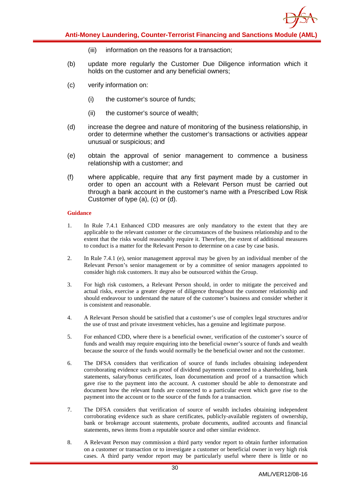

- (iii) information on the reasons for a transaction;
- (b) update more regularly the Customer Due Diligence information which it holds on the customer and any beneficial owners;
- (c) verify information on:
	- (i) the customer's source of funds;
	- (ii) the customer's source of wealth;
- (d) increase the degree and nature of monitoring of the business relationship, in order to determine whether the customer's transactions or activities appear unusual or suspicious; and
- (e) obtain the approval of senior management to commence a business relationship with a customer; and
- (f) where applicable, require that any first payment made by a customer in order to open an account with a Relevant Person must be carried out through a bank account in the customer's name with a Prescribed Low Risk Customer of type (a), (c) or (d).

- 1. In Rule 7.4.1 Enhanced CDD measures are only mandatory to the extent that they are applicable to the relevant customer or the circumstances of the business relationship and to the extent that the risks would reasonably require it. Therefore, the extent of additional measures to conduct is a matter for the Relevant Person to determine on a case by case basis.
- 2. In Rule 7.4.1 (e), senior management approval may be given by an individual member of the Relevant Person's senior management or by a committee of senior managers appointed to consider high risk customers. It may also be outsourced within the Group.
- 3. For high risk customers, a Relevant Person should, in order to mitigate the perceived and actual risks, exercise a greater degree of diligence throughout the customer relationship and should endeavour to understand the nature of the customer's business and consider whether it is consistent and reasonable.
- 4. A Relevant Person should be satisfied that a customer's use of complex legal structures and/or the use of trust and private investment vehicles, has a genuine and legitimate purpose.
- 5. For enhanced CDD, where there is a beneficial owner, verification of the customer's source of funds and wealth may require enquiring into the beneficial owner's source of funds and wealth because the source of the funds would normally be the beneficial owner and not the customer.
- 6. The DFSA considers that verification of source of funds includes obtaining independent corroborating evidence such as proof of dividend payments connected to a shareholding, bank statements, salary/bonus certificates, loan documentation and proof of a transaction which gave rise to the payment into the account. A customer should be able to demonstrate and document how the relevant funds are connected to a particular event which gave rise to the payment into the account or to the source of the funds for a transaction.
- 7. The DFSA considers that verification of source of wealth includes obtaining independent corroborating evidence such as share certificates, publicly-available registers of ownership, bank or brokerage account statements, probate documents, audited accounts and financial statements, news items from a reputable source and other similar evidence.
- 8. A Relevant Person may commission a third party vendor report to obtain further information on a customer or transaction or to investigate a customer or beneficial owner in very high risk cases. A third party vendor report may be particularly useful where there is little or no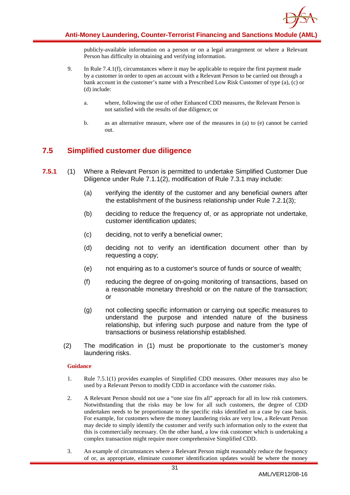

publicly-available information on a person or on a legal arrangement or where a Relevant Person has difficulty in obtaining and verifying information.

- 9. In Rule 7.4.1(f), circumstances where it may be applicable to require the first payment made by a customer in order to open an account with a Relevant Person to be carried out through a bank account in the customer's name with a Prescribed Low Risk Customer of type (a), (c) or (d) include:
	- a. where, following the use of other Enhanced CDD measures, the Relevant Person is not satisfied with the results of due diligence; or
	- b. as an alternative measure, where one of the measures in (a) to (e) cannot be carried out.

### <span id="page-31-0"></span>**7.5 Simplified customer due diligence**

- **7.5.1** (1) Where a Relevant Person is permitted to undertake Simplified Customer Due Diligence under Rule 7.1.1(2), modification of Rule 7.3.1 may include:
	- (a) verifying the identity of the customer and any beneficial owners after the establishment of the business relationship under Rule 7.2.1(3);
	- (b) deciding to reduce the frequency of, or as appropriate not undertake, customer identification updates;
	- (c) deciding, not to verify a beneficial owner;
	- (d) deciding not to verify an identification document other than by requesting a copy;
	- (e) not enquiring as to a customer's source of funds or source of wealth;
	- (f) reducing the degree of on-going monitoring of transactions, based on a reasonable monetary threshold or on the nature of the transaction; or
	- (g) not collecting specific information or carrying out specific measures to understand the purpose and intended nature of the business relationship, but infering such purpose and nature from the type of transactions or business relationship established.
	- (2) The modification in (1) must be proportionate to the customer's money laundering risks.

- 1. Rule 7.5.1(1) provides examples of Simplified CDD measures. Other measures may also be used by a Relevant Person to modify CDD in accordance with the customer risks.
- 2. A Relevant Person should not use a "one size fits all" approach for all its low risk customers. Notwithstanding that the risks may be low for all such customers, the degree of CDD undertaken needs to be proportionate to the specific risks identified on a case by case basis. For example, for customers where the money laundering risks are very low, a Relevant Person may decide to simply identify the customer and verify such information only to the extent that this is commercially necessary. On the other hand, a low risk customer which is undertaking a complex transaction might require more comprehensive Simplified CDD.
- 3. An example of circumstances where a Relevant Person might reasonably reduce the frequency of or, as appropriate, eliminate customer identification updates would be where the money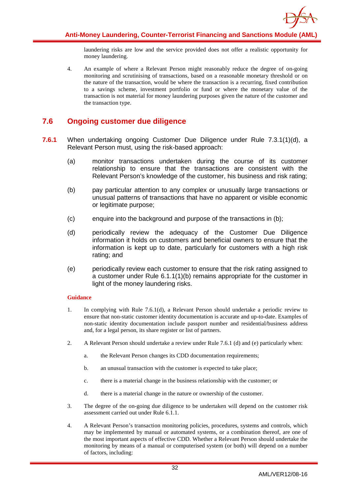

laundering risks are low and the service provided does not offer a realistic opportunity for money laundering.

4. An example of where a Relevant Person might reasonably reduce the degree of on-going monitoring and scrutinising of transactions, based on a reasonable monetary threshold or on the nature of the transaction, would be where the transaction is a recurring, fixed contribution to a savings scheme, investment portfolio or fund or where the monetary value of the transaction is not material for money laundering purposes given the nature of the customer and the transaction type.

### <span id="page-32-0"></span>**7.6 Ongoing customer due diligence**

- **7.6.1** When undertaking ongoing Customer Due Diligence under Rule 7.3.1(1)(d), a Relevant Person must, using the risk-based approach:
	- (a) monitor transactions undertaken during the course of its customer relationship to ensure that the transactions are consistent with the Relevant Person's knowledge of the customer, his business and risk rating;
	- (b) pay particular attention to any complex or unusually large transactions or unusual patterns of transactions that have no apparent or visible economic or legitimate purpose;
	- (c) enquire into the background and purpose of the transactions in (b);
	- (d) periodically review the adequacy of the Customer Due Diligence information it holds on customers and beneficial owners to ensure that the information is kept up to date, particularly for customers with a high risk rating; and
	- (e) periodically review each customer to ensure that the risk rating assigned to a customer under Rule 6.1.1(1)(b) remains appropriate for the customer in light of the money laundering risks.

- 1. In complying with Rule 7.6.1(d), a Relevant Person should undertake a periodic review to ensure that non-static customer identity documentation is accurate and up-to-date. Examples of non-static identity documentation include passport number and residential/business address and, for a legal person, its share register or list of partners.
- 2. A Relevant Person should undertake a review under Rule 7.6.1 (d) and (e) particularly when:
	- a. the Relevant Person changes its CDD documentation requirements;
	- b. an unusual transaction with the customer is expected to take place;
	- c. there is a material change in the business relationship with the customer; or
	- d. there is a material change in the nature or ownership of the customer.
- 3. The degree of the on-going due diligence to be undertaken will depend on the customer risk assessment carried out under Rule 6.1.1.
- 4. A Relevant Person's transaction monitoring policies, procedures, systems and controls, which may be implemented by manual or automated systems, or a combination thereof, are one of the most important aspects of effective CDD. Whether a Relevant Person should undertake the monitoring by means of a manual or computerised system (or both) will depend on a number of factors, including: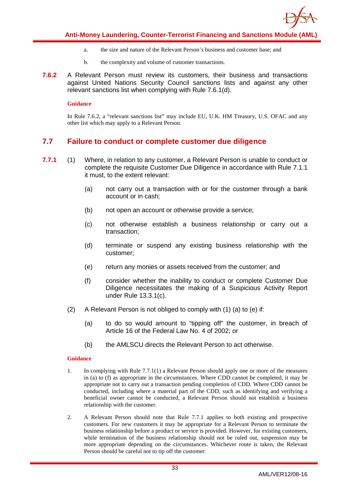

- a. the size and nature of the Relevant Person's business and customer base; and
- b. the complexity and volume of customer transactions.
- **7.6.2** A Relevant Person must review its customers, their business and transactions against United Nations Security Council sanctions lists and against any other relevant sanctions list when complying with Rule 7.6.1(d).

#### **Guidance**

In Rule 7.6.2, a "relevant sanctions list" may include EU, U.K. HM Treasury, U.S. OFAC and any other list which may apply to a Relevant Person.

### <span id="page-33-0"></span>**7.7 Failure to conduct or complete customer due diligence**

- **7.7.1** (1) Where, in relation to any customer, a Relevant Person is unable to conduct or complete the requisite Customer Due Diligence in accordance with Rule 7.1.1 it must, to the extent relevant:
	- (a) not carry out a transaction with or for the customer through a bank account or in cash;
	- (b) not open an account or otherwise provide a service;
	- (c) not otherwise establish a business relationship or carry out a transaction;
	- (d) terminate or suspend any existing business relationship with the customer;
	- (e) return any monies or assets received from the customer; and
	- (f) consider whether the inability to conduct or complete Customer Due Diligence necessitates the making of a Suspicious Activity Report under Rule 13.3.1(c).
	- (2) A Relevant Person is not obliged to comply with (1) (a) to (e) if:
		- (a) to do so would amount to "tipping off" the customer, in breach of Article 16 of the Federal Law No. 4 of 2002; or
		- (b) the AMLSCU directs the Relevant Person to act otherwise.

- 1. In complying with Rule 7.7.1(1) a Relevant Person should apply one or more of the measures in (a) to (f) as appropriate in the circumstances. Where CDD cannot be completed, it may be appropriate not to carry out a transaction pending completion of CDD. Where CDD cannot be conducted, including where a material part of the CDD, such as identifying and verifying a beneficial owner cannot be conducted, a Relevant Person should not establish a business relationship with the customer.
- 2. A Relevant Person should note that Rule 7.7.1 applies to both existing and prospective customers. For new customers it may be appropriate for a Relevant Person to terminate the business relationship before a product or service is provided. However, for existing customers, while termination of the business relationship should not be ruled out, suspension may be more appropriate depending on the circumstances. Whichever route is taken, the Relevant Person should be careful not to tip off the customer.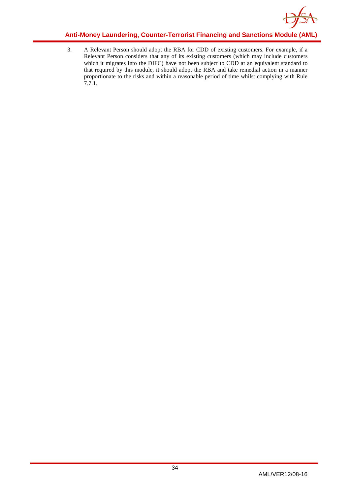

3. A Relevant Person should adopt the RBA for CDD of existing customers. For example, if a Relevant Person considers that any of its existing customers (which may include customers which it migrates into the DIFC) have not been subject to CDD at an equivalent standard to that required by this module, it should adopt the RBA and take remedial action in a manner proportionate to the risks and within a reasonable period of time whilst complying with Rule 7.7.1.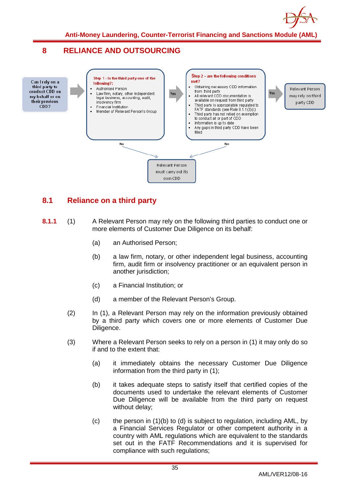

### <span id="page-35-0"></span>**8 RELIANCE AND OUTSOURCING**



### <span id="page-35-1"></span>**8.1 Reliance on a third party**

- **8.1.1** (1) A Relevant Person may rely on the following third parties to conduct one or more elements of Customer Due Diligence on its behalf:
	- (a) an Authorised Person;
	- (b) a law firm, notary, or other independent legal business, accounting firm, audit firm or insolvency practitioner or an equivalent person in another jurisdiction;
	- (c) a Financial Institution; or
	- (d) a member of the Relevant Person's Group.
	- (2) In (1), a Relevant Person may rely on the information previously obtained by a third party which covers one or more elements of Customer Due Diligence.
	- (3) Where a Relevant Person seeks to rely on a person in (1) it may only do so if and to the extent that:
		- (a) it immediately obtains the necessary Customer Due Diligence information from the third party in (1);
		- (b) it takes adequate steps to satisfy itself that certified copies of the documents used to undertake the relevant elements of Customer Due Diligence will be available from the third party on request without delay;
		- (c) the person in (1)(b) to (d) is subject to regulation, including AML, by a Financial Services Regulator or other competent authority in a country with AML regulations which are equivalent to the standards set out in the FATF Recommendations and it is supervised for compliance with such regulations;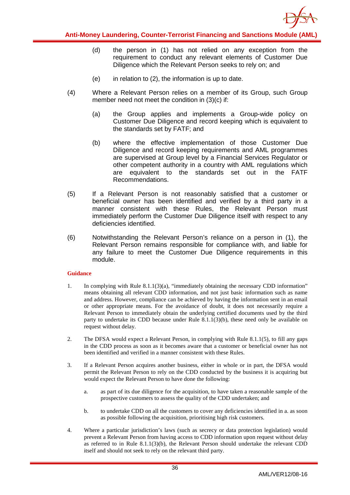

- (d) the person in (1) has not relied on any exception from the requirement to conduct any relevant elements of Customer Due Diligence which the Relevant Person seeks to rely on; and
- $(e)$  in relation to  $(2)$ , the information is up to date.
- (4) Where a Relevant Person relies on a member of its Group, such Group member need not meet the condition in (3)(c) if:
	- (a) the Group applies and implements a Group-wide policy on Customer Due Diligence and record keeping which is equivalent to the standards set by FATF; and
	- (b) where the effective implementation of those Customer Due Diligence and record keeping requirements and AML programmes are supervised at Group level by a Financial Services Regulator or other competent authority in a country with AML regulations which are equivalent to the standards set out in the FATF Recommendations.
- (5) If a Relevant Person is not reasonably satisfied that a customer or beneficial owner has been identified and verified by a third party in a manner consistent with these Rules, the Relevant Person must immediately perform the Customer Due Diligence itself with respect to any deficiencies identified.
- (6) Notwithstanding the Relevant Person's reliance on a person in (1), the Relevant Person remains responsible for compliance with, and liable for any failure to meet the Customer Due Diligence requirements in this module.

- 1. In complying with Rule 8.1.1(3)(a), "immediately obtaining the necessary CDD information" means obtaining all relevant CDD information, and not just basic information such as name and address. However, compliance can be achieved by having the information sent in an email or other appropriate means. For the avoidance of doubt, it does not necessarily require a Relevant Person to immediately obtain the underlying certified documents used by the third party to undertake its CDD because under Rule 8.1.1(3)(b), these need only be available on request without delay.
- 2. The DFSA would expect a Relevant Person, in complying with Rule 8.1.1(5), to fill any gaps in the CDD process as soon as it becomes aware that a customer or beneficial owner has not been identified and verified in a manner consistent with these Rules.
- 3. If a Relevant Person acquires another business, either in whole or in part, the DFSA would permit the Relevant Person to rely on the CDD conducted by the business it is acquiring but would expect the Relevant Person to have done the following:
	- a. as part of its due diligence for the acquisition, to have taken a reasonable sample of the prospective customers to assess the quality of the CDD undertaken; and
	- b. to undertake CDD on all the customers to cover any deficiencies identified in a. as soon as possible following the acquisition, prioritising high risk customers.
- 4. Where a particular jurisdiction's laws (such as secrecy or data protection legislation) would prevent a Relevant Person from having access to CDD information upon request without delay as referred to in Rule 8.1.1(3)(b), the Relevant Person should undertake the relevant CDD itself and should not seek to rely on the relevant third party.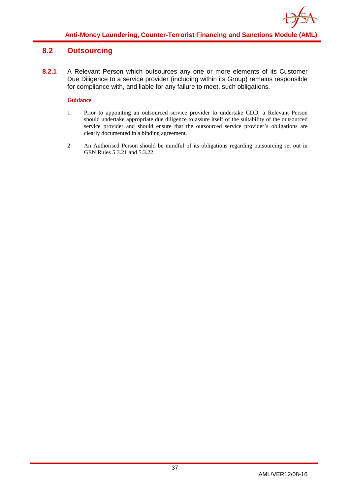### <span id="page-37-0"></span>**8.2 Outsourcing**

**8.2.1** A Relevant Person which outsources any one or more elements of its Customer Due Diligence to a service provider (including within its Group) remains responsible for compliance with, and liable for any failure to meet, such obligations.

- 1. Prior to appointing an outsourced service provider to undertake CDD, a Relevant Person should undertake appropriate due diligence to assure itself of the suitability of the outsourced service provider and should ensure that the outsourced service provider's obligations are clearly documented in a binding agreement.
- 2. An Authorised Person should be mindful of its obligations regarding outsourcing set out in GEN Rules 5.3.21 and 5.3.22.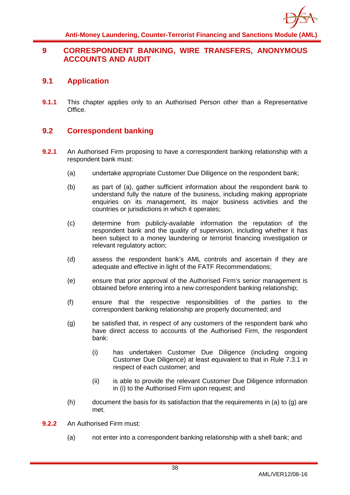

### <span id="page-38-0"></span>**9 CORRESPONDENT BANKING, WIRE TRANSFERS, ANONYMOUS ACCOUNTS AND AUDIT**

### <span id="page-38-1"></span>**9.1 Application**

**9.1.1** This chapter applies only to an Authorised Person other than a Representative Office.

### <span id="page-38-2"></span>**9.2 Correspondent banking**

- **9.2.1** An Authorised Firm proposing to have a correspondent banking relationship with a respondent bank must:
	- (a) undertake appropriate Customer Due Diligence on the respondent bank;
	- (b) as part of (a), gather sufficient information about the respondent bank to understand fully the nature of the business, including making appropriate enquiries on its management, its major business activities and the countries or jurisdictions in which it operates;
	- (c) determine from publicly-available information the reputation of the respondent bank and the quality of supervision, including whether it has been subject to a money laundering or terrorist financing investigation or relevant regulatory action;
	- (d) assess the respondent bank's AML controls and ascertain if they are adequate and effective in light of the FATF Recommendations;
	- (e) ensure that prior approval of the Authorised Firm's senior management is obtained before entering into a new correspondent banking relationship;
	- (f) ensure that the respective responsibilities of the parties to the correspondent banking relationship are properly documented; and
	- (g) be satisfied that, in respect of any customers of the respondent bank who have direct access to accounts of the Authorised Firm, the respondent bank:
		- (i) has undertaken Customer Due Diligence (including ongoing Customer Due Diligence) at least equivalent to that in Rule 7.3.1 in respect of each customer; and
		- (ii) is able to provide the relevant Customer Due Diligence information in (i) to the Authorised Firm upon request; and
	- (h) document the basis for its satisfaction that the requirements in (a) to (g) are met.
- **9.2.2** An Authorised Firm must:
	- (a) not enter into a correspondent banking relationship with a shell bank; and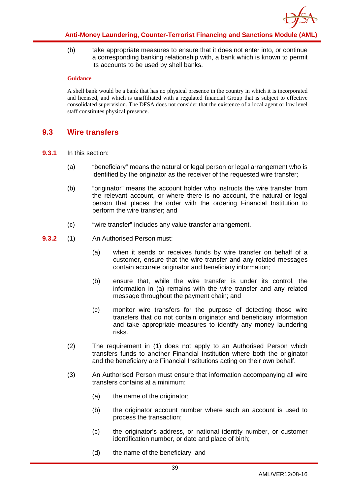

(b) take appropriate measures to ensure that it does not enter into, or continue a corresponding banking relationship with, a bank which is known to permit its accounts to be used by shell banks.

#### **Guidance**

A shell bank would be a bank that has no physical presence in the country in which it is incorporated and licensed, and which is unaffiliated with a regulated financial Group that is subject to effective consolidated supervision. The DFSA does not consider that the existence of a local agent or low level staff constitutes physical presence.

### <span id="page-39-0"></span>**9.3 Wire transfers**

- **9.3.1** In this section:
	- (a) "beneficiary" means the natural or legal person or legal arrangement who is identified by the originator as the receiver of the requested wire transfer;
	- (b) "originator" means the account holder who instructs the wire transfer from the relevant account, or where there is no account, the natural or legal person that places the order with the ordering Financial Institution to perform the wire transfer; and
	- (c) "wire transfer" includes any value transfer arrangement.
- **9.3.2** (1) An Authorised Person must:
	- (a) when it sends or receives funds by wire transfer on behalf of a customer, ensure that the wire transfer and any related messages contain accurate originator and beneficiary information;
	- (b) ensure that, while the wire transfer is under its control, the information in (a) remains with the wire transfer and any related message throughout the payment chain; and
	- (c) monitor wire transfers for the purpose of detecting those wire transfers that do not contain originator and beneficiary information and take appropriate measures to identify any money laundering risks.
	- (2) The requirement in (1) does not apply to an Authorised Person which transfers funds to another Financial Institution where both the originator and the beneficiary are Financial Institutions acting on their own behalf.
	- (3) An Authorised Person must ensure that information accompanying all wire transfers contains at a minimum:
		- (a) the name of the originator;
		- (b) the originator account number where such an account is used to process the transaction;
		- (c) the originator's address, or national identity number, or customer identification number, or date and place of birth;
		- (d) the name of the beneficiary; and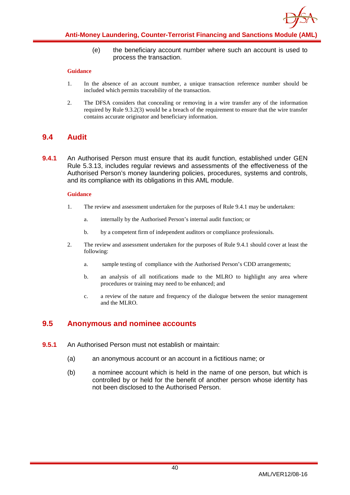

(e) the beneficiary account number where such an account is used to process the transaction.

#### **Guidance**

- 1. In the absence of an account number, a unique transaction reference number should be included which permits traceability of the transaction.
- 2. The DFSA considers that concealing or removing in a wire transfer any of the information required by Rule 9.3.2(3) would be a breach of the requirement to ensure that the wire transfer contains accurate originator and beneficiary information.

### <span id="page-40-0"></span>**9.4 Audit**

**9.4.1** An Authorised Person must ensure that its audit function, established under GEN Rule 5.3.13, includes regular reviews and assessments of the effectiveness of the Authorised Person's money laundering policies, procedures, systems and controls, and its compliance with its obligations in this AML module.

#### **Guidance**

- 1. The review and assessment undertaken for the purposes of Rule 9.4.1 may be undertaken:
	- a. internally by the Authorised Person's internal audit function; or
	- b. by a competent firm of independent auditors or compliance professionals.
- 2. The review and assessment undertaken for the purposes of Rule 9.4.1 should cover at least the following:
	- a. sample testing of compliance with the Authorised Person's CDD arrangements;
	- b. an analysis of all notifications made to the MLRO to highlight any area where procedures or training may need to be enhanced; and
	- c. a review of the nature and frequency of the dialogue between the senior management and the MLRO.

### <span id="page-40-1"></span>**9.5 Anonymous and nominee accounts**

- **9.5.1** An Authorised Person must not establish or maintain:
	- (a) an anonymous account or an account in a fictitious name; or
	- (b) a nominee account which is held in the name of one person, but which is controlled by or held for the benefit of another person whose identity has not been disclosed to the Authorised Person.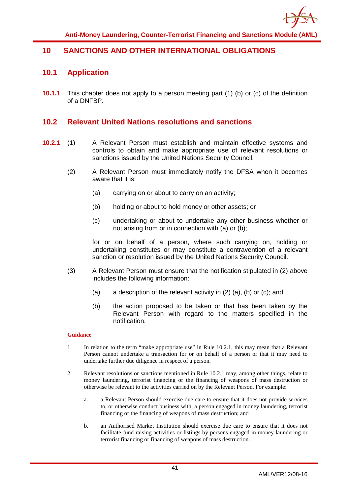

### <span id="page-41-1"></span><span id="page-41-0"></span>**10 SANCTIONS AND OTHER INTERNATIONAL OBLIGATIONS**

### **10.1 Application**

**10.1.1** This chapter does not apply to a person meeting part (1) (b) or (c) of the definition of a DNFBP.

### <span id="page-41-2"></span>**10.2 Relevant United Nations resolutions and sanctions**

- **10.2.1** (1) A Relevant Person must establish and maintain effective systems and controls to obtain and make appropriate use of relevant resolutions or sanctions issued by the United Nations Security Council.
	- (2) A Relevant Person must immediately notify the DFSA when it becomes aware that it is:
		- (a) carrying on or about to carry on an activity;
		- (b) holding or about to hold money or other assets; or
		- (c) undertaking or about to undertake any other business whether or not arising from or in connection with (a) or (b);

for or on behalf of a person, where such carrying on, holding or undertaking constitutes or may constitute a contravention of a relevant sanction or resolution issued by the United Nations Security Council.

- (3) A Relevant Person must ensure that the notification stipulated in (2) above includes the following information:
	- (a) a description of the relevant activity in (2) (a), (b) or (c); and
	- (b) the action proposed to be taken or that has been taken by the Relevant Person with regard to the matters specified in the notification.

- 1. In relation to the term "make appropriate use" in Rule 10.2.1, this may mean that a Relevant Person cannot undertake a transaction for or on behalf of a person or that it may need to undertake further due diligence in respect of a person.
- 2. Relevant resolutions or sanctions mentioned in Rule 10.2.1 may, among other things, relate to money laundering, terrorist financing or the financing of weapons of mass destruction or otherwise be relevant to the activities carried on by the Relevant Person. For example:
	- a. a Relevant Person should exercise due care to ensure that it does not provide services to, or otherwise conduct business with, a person engaged in money laundering, terrorist financing or the financing of weapons of mass destruction; and
	- b. an Authorised Market Institution should exercise due care to ensure that it does not facilitate fund raising activities or listings by persons engaged in money laundering or terrorist financing or financing of weapons of mass destruction.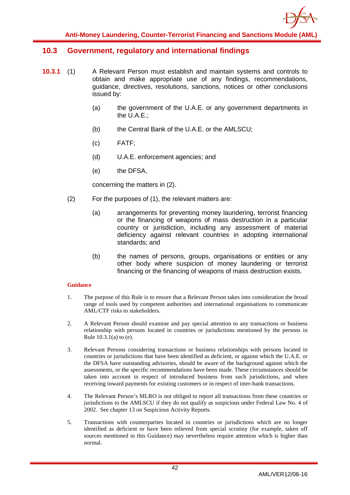### <span id="page-42-0"></span>**10.3 Government, regulatory and international findings**

- **10.3.1** (1) A Relevant Person must establish and maintain systems and controls to obtain and make appropriate use of any findings, recommendations, guidance, directives, resolutions, sanctions, notices or other conclusions issued by:
	- (a) the government of the U.A.E. or any government departments in the U.A.E.;
	- (b) the Central Bank of the U.A.E. or the AMLSCU;
	- (c) FATF;
	- (d) U.A.E. enforcement agencies; and
	- (e) the DFSA,

concerning the matters in (2).

- (2) For the purposes of (1), the relevant matters are:
	- (a) arrangements for preventing money laundering, terrorist financing or the financing of weapons of mass destruction in a particular country or jurisdiction, including any assessment of material deficiency against relevant countries in adopting international standards; and
	- (b) the names of persons, groups, organisations or entities or any other body where suspicion of money laundering or terrorist financing or the financing of weapons of mass destruction exists.

- 1. The purpose of this Rule is to ensure that a Relevant Person takes into consideration the broad range of tools used by competent authorities and international organisations to communicate AML/CTF risks to stakeholders.
- 2. A Relevant Person should examine and pay special attention to any transactions or business relationship with persons located in countries or jurisdictions mentioned by the persons in Rule 10.3.1(a) to (e).
- 3. Relevant Persons considering transactions or business relationships with persons located in countries or jurisdictions that have been identified as deficient, or against which the U.A.E. or the DFSA have outstanding advisories, should be aware of the background against which the assessments, or the specific recommendations have been made. These circumstances should be taken into account in respect of introduced business from such jurisdictions, and when receiving inward payments for existing customers or in respect of inter-bank transactions.
- 4. The Relevant Person's MLRO is not obliged to report all transactions from these countries or jurisdictions to the AMLSCU if they do not qualify as suspicious under Federal Law No. 4 of 2002. See chapter 13 on Suspicious Activity Reports.
- 5. Transactions with counterparties located in countries or jurisdictions which are no longer identified as deficient or have been relieved from special scrutiny (for example, taken off sources mentioned in this Guidance) may nevertheless require attention which is higher than normal.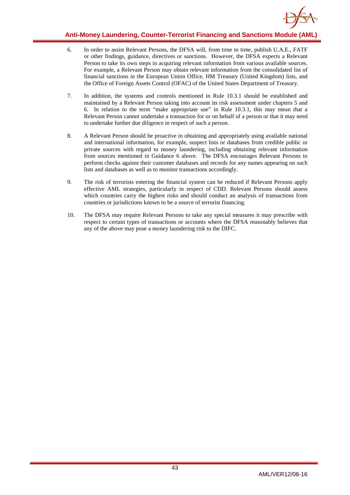

- 6. In order to assist Relevant Persons, the DFSA will, from time to time, publish U.A.E., FATF or other findings, guidance, directives or sanctions. However, the DFSA expects a Relevant Person to take its own steps in acquiring relevant information from various available sources. For example, a Relevant Person may obtain relevant information from the consolidated list of financial sanctions in the European Union Office, HM Treasury (United Kingdom) lists, and the Office of Foreign Assets Control (OFAC) of the United States Department of Treasury.
- 7. In addition, the systems and controls mentioned in Rule 10.3.1 should be established and maintained by a Relevant Person taking into account its risk assessment under chapters 5 and 6. In relation to the term "make appropriate use" in Rule 10.3.1, this may mean that a Relevant Person cannot undertake a transaction for or on behalf of a person or that it may need to undertake further due diligence in respect of such a person.
- 8. A Relevant Person should be proactive in obtaining and appropriately using available national and international information, for example, suspect lists or databases from credible public or private sources with regard to money laundering, including obtaining relevant information from sources mentioned in Guidance 6 above. The DFSA encourages Relevant Persons to perform checks against their customer databases and records for any names appearing on such lists and databases as well as to monitor transactions accordingly.
- 9. The risk of terrorists entering the financial system can be reduced if Relevant Persons apply effective AML strategies, particularly in respect of CDD. Relevant Persons should assess which countries carry the highest risks and should conduct an analysis of transactions from countries or jurisdictions known to be a source of terrorist financing.
- 10. The DFSA may require Relevant Persons to take any special measures it may prescribe with respect to certain types of transactions or accounts where the DFSA reasonably believes that any of the above may pose a money laundering risk to the DIFC.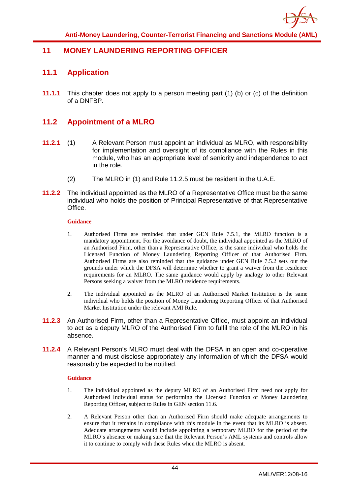

### <span id="page-44-1"></span><span id="page-44-0"></span>**11 MONEY LAUNDERING REPORTING OFFICER**

### **11.1 Application**

**11.1.1** This chapter does not apply to a person meeting part (1) (b) or (c) of the definition of a DNFBP.

### <span id="page-44-2"></span>**11.2 Appointment of a MLRO**

- **11.2.1** (1) A Relevant Person must appoint an individual as MLRO, with responsibility for implementation and oversight of its compliance with the Rules in this module, who has an appropriate level of seniority and independence to act in the role.
	- (2) The MLRO in (1) and Rule 11.2.5 must be resident in the U.A.E.
- **11.2.2** The individual appointed as the MLRO of a Representative Office must be the same individual who holds the position of Principal Representative of that Representative Office.

#### **Guidance**

- 1. Authorised Firms are reminded that under GEN Rule 7.5.1, the MLRO function is a mandatory appointment. For the avoidance of doubt, the individual appointed as the MLRO of an Authorised Firm, other than a Representative Office, is the same individual who holds the Licensed Function of Money Laundering Reporting Officer of that Authorised Firm. Authorised Firms are also reminded that the guidance under GEN Rule 7.5.2 sets out the grounds under which the DFSA will determine whether to grant a waiver from the residence requirements for an MLRO. The same guidance would apply by analogy to other Relevant Persons seeking a waiver from the MLRO residence requirements.
- 2. The individual appointed as the MLRO of an Authorised Market Institution is the same individual who holds the position of Money Laundering Reporting Officer of that Authorised Market Institution under the relevant AMI Rule.
- **11.2.3** An Authorised Firm, other than a Representative Office, must appoint an individual to act as a deputy MLRO of the Authorised Firm to fulfil the role of the MLRO in his absence.
- **11.2.4** A Relevant Person's MLRO must deal with the DFSA in an open and co-operative manner and must disclose appropriately any information of which the DFSA would reasonably be expected to be notified.

- 1. The individual appointed as the deputy MLRO of an Authorised Firm need not apply for Authorised Individual status for performing the Licensed Function of Money Laundering Reporting Officer, subject to Rules in GEN section 11.6.
- 2. A Relevant Person other than an Authorised Firm should make adequate arrangements to ensure that it remains in compliance with this module in the event that its MLRO is absent. Adequate arrangements would include appointing a temporary MLRO for the period of the MLRO's absence or making sure that the Relevant Person's AML systems and controls allow it to continue to comply with these Rules when the MLRO is absent.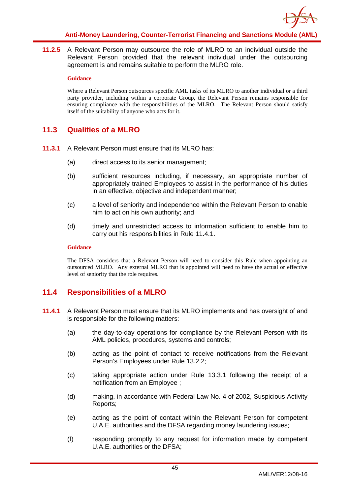

**11.2.5** A Relevant Person may outsource the role of MLRO to an individual outside the Relevant Person provided that the relevant individual under the outsourcing agreement is and remains suitable to perform the MLRO role.

#### **Guidance**

Where a Relevant Person outsources specific AML tasks of its MLRO to another individual or a third party provider, including within a corporate Group, the Relevant Person remains responsible for ensuring compliance with the responsibilities of the MLRO. The Relevant Person should satisfy itself of the suitability of anyone who acts for it.

### <span id="page-45-0"></span>**11.3 Qualities of a MLRO**

- **11.3.1** A Relevant Person must ensure that its MLRO has:
	- (a) direct access to its senior management;
	- (b) sufficient resources including, if necessary, an appropriate number of appropriately trained Employees to assist in the performance of his duties in an effective, objective and independent manner;
	- (c) a level of seniority and independence within the Relevant Person to enable him to act on his own authority; and
	- (d) timely and unrestricted access to information sufficient to enable him to carry out his responsibilities in Rule 11.4.1.

#### **Guidance**

The DFSA considers that a Relevant Person will need to consider this Rule when appointing an outsourced MLRO. Any external MLRO that is appointed will need to have the actual or effective level of seniority that the role requires.

### <span id="page-45-1"></span>**11.4 Responsibilities of a MLRO**

- **11.4.1** A Relevant Person must ensure that its MLRO implements and has oversight of and is responsible for the following matters:
	- (a) the day-to-day operations for compliance by the Relevant Person with its AML policies, procedures, systems and controls;
	- (b) acting as the point of contact to receive notifications from the Relevant Person's Employees under Rule 13.2.2;
	- (c) taking appropriate action under Rule 13.3.1 following the receipt of a notification from an Employee ;
	- (d) making, in accordance with Federal Law No. 4 of 2002, Suspicious Activity Reports;
	- (e) acting as the point of contact within the Relevant Person for competent U.A.E. authorities and the DFSA regarding money laundering issues;
	- (f) responding promptly to any request for information made by competent U.A.E. authorities or the DFSA;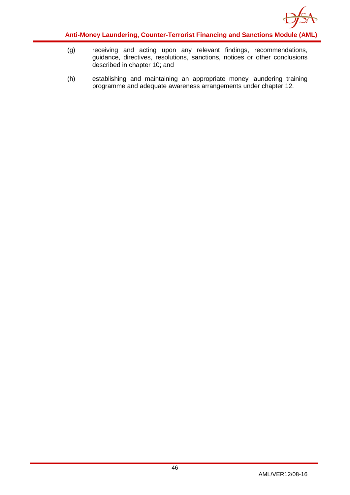

- (g) receiving and acting upon any relevant findings, recommendations, guidance, directives, resolutions, sanctions, notices or other conclusions described in chapter 10; and
- (h) establishing and maintaining an appropriate money laundering training programme and adequate awareness arrangements under chapter 12.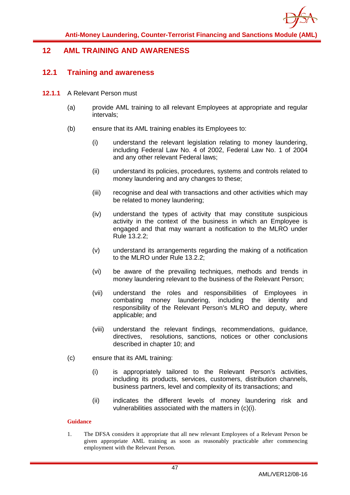

### <span id="page-47-1"></span><span id="page-47-0"></span>**12 AML TRAINING AND AWARENESS**

### **12.1 Training and awareness**

- **12.1.1** A Relevant Person must
	- (a) provide AML training to all relevant Employees at appropriate and regular intervals;
	- (b) ensure that its AML training enables its Employees to:
		- (i) understand the relevant legislation relating to money laundering, including Federal Law No. 4 of 2002, Federal Law No. 1 of 2004 and any other relevant Federal laws;
		- (ii) understand its policies, procedures, systems and controls related to money laundering and any changes to these;
		- (iii) recognise and deal with transactions and other activities which may be related to money laundering;
		- (iv) understand the types of activity that may constitute suspicious activity in the context of the business in which an Employee is engaged and that may warrant a notification to the MLRO under Rule 13.2.2;
		- (v) understand its arrangements regarding the making of a notification to the MLRO under Rule 13.2.2;
		- (vi) be aware of the prevailing techniques, methods and trends in money laundering relevant to the business of the Relevant Person;
		- (vii) understand the roles and responsibilities of Employees in combating money laundering, including the identity and responsibility of the Relevant Person's MLRO and deputy, where applicable; and
		- (viii) understand the relevant findings, recommendations, guidance, directives, resolutions, sanctions, notices or other conclusions described in chapter 10; and
	- (c) ensure that its AML training:
		- (i) is appropriately tailored to the Relevant Person's activities, including its products, services, customers, distribution channels, business partners, level and complexity of its transactions; and
		- (ii) indicates the different levels of money laundering risk and vulnerabilities associated with the matters in (c)(i).

#### **Guidance**

1. The DFSA considers it appropriate that all new relevant Employees of a Relevant Person be given appropriate AML training as soon as reasonably practicable after commencing employment with the Relevant Person.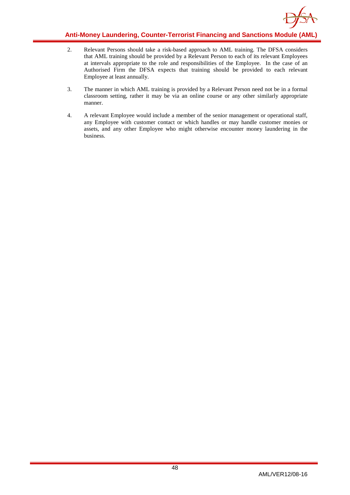

- 2. Relevant Persons should take a risk-based approach to AML training. The DFSA considers that AML training should be provided by a Relevant Person to each of its relevant Employees at intervals appropriate to the role and responsibilities of the Employee. In the case of an Authorised Firm the DFSA expects that training should be provided to each relevant Employee at least annually.
- 3. The manner in which AML training is provided by a Relevant Person need not be in a formal classroom setting, rather it may be via an online course or any other similarly appropriate manner.
- 4. A relevant Employee would include a member of the senior management or operational staff, any Employee with customer contact or which handles or may handle customer monies or assets, and any other Employee who might otherwise encounter money laundering in the business.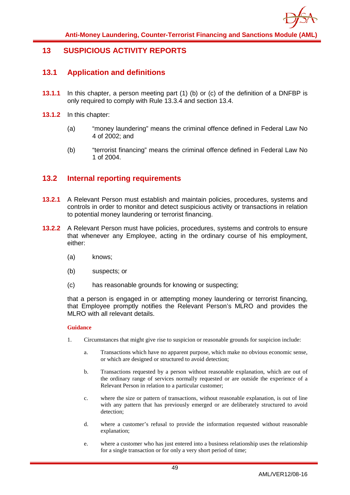

### <span id="page-49-1"></span><span id="page-49-0"></span>**13 SUSPICIOUS ACTIVITY REPORTS**

### **13.1 Application and definitions**

- **13.1.1** In this chapter, a person meeting part (1) (b) or (c) of the definition of a DNFBP is only required to comply with Rule 13.3.4 and section 13.4.
- **13.1.2** In this chapter:
	- (a) "money laundering" means the criminal offence defined in Federal Law No 4 of 2002; and
	- (b) "terrorist financing" means the criminal offence defined in Federal Law No 1 of 2004.

### <span id="page-49-2"></span>**13.2 Internal reporting requirements**

- **13.2.1** A Relevant Person must establish and maintain policies, procedures, systems and controls in order to monitor and detect suspicious activity or transactions in relation to potential money laundering or terrorist financing.
- **13.2.2** A Relevant Person must have policies, procedures, systems and controls to ensure that whenever any Employee, acting in the ordinary course of his employment, either:
	- (a) knows;
	- (b) suspects; or
	- (c) has reasonable grounds for knowing or suspecting;

that a person is engaged in or attempting money laundering or terrorist financing, that Employee promptly notifies the Relevant Person's MLRO and provides the MLRO with all relevant details.

- 1. Circumstances that might give rise to suspicion or reasonable grounds for suspicion include:
	- a. Transactions which have no apparent purpose, which make no obvious economic sense, or which are designed or structured to avoid detection;
	- b. Transactions requested by a person without reasonable explanation, which are out of the ordinary range of services normally requested or are outside the experience of a Relevant Person in relation to a particular customer;
	- c. where the size or pattern of transactions, without reasonable explanation, is out of line with any pattern that has previously emerged or are deliberately structured to avoid detection;
	- d. where a customer's refusal to provide the information requested without reasonable explanation;
	- e. where a customer who has just entered into a business relationship uses the relationship for a single transaction or for only a very short period of time;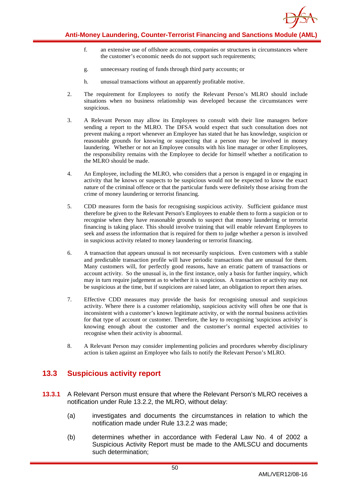

- f. an extensive use of offshore accounts, companies or structures in circumstances where the customer's economic needs do not support such requirements;
- g. unnecessary routing of funds through third party accounts; or
- h. unusual transactions without an apparently profitable motive.
- 2. The requirement for Employees to notify the Relevant Person's MLRO should include situations when no business relationship was developed because the circumstances were suspicious.
- 3. A Relevant Person may allow its Employees to consult with their line managers before sending a report to the MLRO. The DFSA would expect that such consultation does not prevent making a report whenever an Employee has stated that he has knowledge, suspicion or reasonable grounds for knowing or suspecting that a person may be involved in money laundering. Whether or not an Employee consults with his line manager or other Employees, the responsibility remains with the Employee to decide for himself whether a notification to the MLRO should be made.
- 4. An Employee, including the MLRO, who considers that a person is engaged in or engaging in activity that he knows or suspects to be suspicious would not be expected to know the exact nature of the criminal offence or that the particular funds were definitely those arising from the crime of money laundering or terrorist financing.
- 5. CDD measures form the basis for recognising suspicious activity. Sufficient guidance must therefore be given to the Relevant Person's Employees to enable them to form a suspicion or to recognise when they have reasonable grounds to suspect that money laundering or terrorist financing is taking place. This should involve training that will enable relevant Employees to seek and assess the information that is required for them to judge whether a person is involved in suspicious activity related to money laundering or terrorist financing.
- 6. A transaction that appears unusual is not necessarily suspicious. Even customers with a stable and predictable transaction profile will have periodic transactions that are unusual for them. Many customers will, for perfectly good reasons, have an erratic pattern of transactions or account activity. So the unusual is, in the first instance, only a basis for further inquiry, which may in turn require judgement as to whether it is suspicious. A transaction or activity may not be suspicious at the time, but if suspicions are raised later, an obligation to report then arises.
- 7. Effective CDD measures may provide the basis for recognising unusual and suspicious activity. Where there is a customer relationship, suspicious activity will often be one that is inconsistent with a customer's known legitimate activity, or with the normal business activities for that type of account or customer. Therefore, the key to recognising 'suspicious activity' is knowing enough about the customer and the customer's normal expected activities to recognise when their activity is abnormal.
- 8. A Relevant Person may consider implementing policies and procedures whereby disciplinary action is taken against an Employee who fails to notify the Relevant Person's MLRO.

### <span id="page-50-0"></span>**13.3 Suspicious activity report**

- **13.3.1** A Relevant Person must ensure that where the Relevant Person's MLRO receives a notification under Rule 13.2.2, the MLRO, without delay:
	- (a) investigates and documents the circumstances in relation to which the notification made under Rule 13.2.2 was made;
	- (b) determines whether in accordance with Federal Law No. 4 of 2002 a Suspicious Activity Report must be made to the AMLSCU and documents such determination;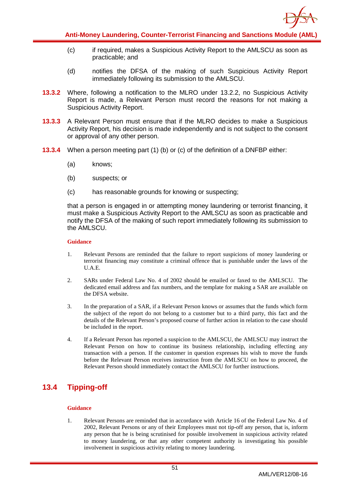

- (c) if required, makes a Suspicious Activity Report to the AMLSCU as soon as practicable; and
- (d) notifies the DFSA of the making of such Suspicious Activity Report immediately following its submission to the AMLSCU.
- **13.3.2** Where, following a notification to the MLRO under 13.2.2, no Suspicious Activity Report is made, a Relevant Person must record the reasons for not making a Suspicious Activity Report.
- **13.3.3** A Relevant Person must ensure that if the MLRO decides to make a Suspicious Activity Report, his decision is made independently and is not subject to the consent or approval of any other person.
- **13.3.4** When a person meeting part (1) (b) or (c) of the definition of a DNFBP either:
	- (a) knows;
	- (b) suspects; or
	- (c) has reasonable grounds for knowing or suspecting;

that a person is engaged in or attempting money laundering or terrorist financing, it must make a Suspicious Activity Report to the AMLSCU as soon as practicable and notify the DFSA of the making of such report immediately following its submission to the AMLSCU.

#### **Guidance**

- 1. Relevant Persons are reminded that the failure to report suspicions of money laundering or terrorist financing may constitute a criminal offence that is punishable under the laws of the U.A.E.
- 2. SARs under Federal Law No. 4 of 2002 should be emailed or faxed to the AMLSCU. The dedicated email address and fax numbers, and the template for making a SAR are available on the DFSA website.
- 3. In the preparation of a SAR, if a Relevant Person knows or assumes that the funds which form the subject of the report do not belong to a customer but to a third party, this fact and the details of the Relevant Person's proposed course of further action in relation to the case should be included in the report.
- 4. If a Relevant Person has reported a suspicion to the AMLSCU, the AMLSCU may instruct the Relevant Person on how to continue its business relationship, including effecting any transaction with a person. If the customer in question expresses his wish to move the funds before the Relevant Person receives instruction from the AMLSCU on how to proceed, the Relevant Person should immediately contact the AMLSCU for further instructions.

### <span id="page-51-0"></span>**13.4 Tipping-off**

#### **Guidance**

1. Relevant Persons are reminded that in accordance with Article 16 of the Federal Law No. 4 of 2002, Relevant Persons or any of their Employees must not tip-off any person, that is, inform any person that he is being scrutinised for possible involvement in suspicious activity related to money laundering, or that any other competent authority is investigating his possible involvement in suspicious activity relating to money laundering.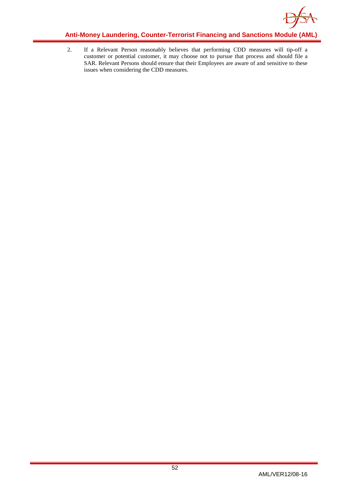![](_page_52_Picture_0.jpeg)

2. If a Relevant Person reasonably believes that performing CDD measures will tip-off a customer or potential customer, it may choose not to pursue that process and should file a SAR. Relevant Persons should ensure that their Employees are aware of and sensitive to these issues when considering the CDD measures.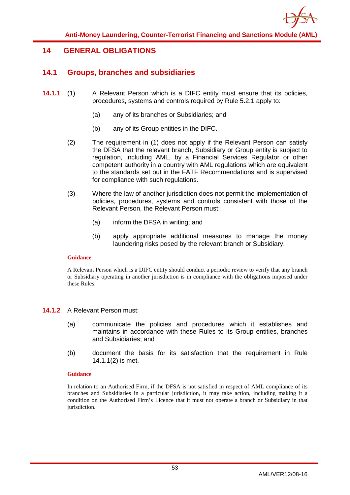![](_page_53_Picture_0.jpeg)

### <span id="page-53-1"></span><span id="page-53-0"></span>**14 GENERAL OBLIGATIONS**

### **14.1 Groups, branches and subsidiaries**

- **14.1.1** (1) A Relevant Person which is a DIFC entity must ensure that its policies, procedures, systems and controls required by Rule 5.2.1 apply to:
	- (a) any of its branches or Subsidiaries; and
	- (b) any of its Group entities in the DIFC.
	- (2) The requirement in (1) does not apply if the Relevant Person can satisfy the DFSA that the relevant branch, Subsidiary or Group entity is subject to regulation, including AML, by a Financial Services Regulator or other competent authority in a country with AML regulations which are equivalent to the standards set out in the FATF Recommendations and is supervised for compliance with such regulations.
	- (3) Where the law of another jurisdiction does not permit the implementation of policies, procedures, systems and controls consistent with those of the Relevant Person, the Relevant Person must:
		- (a) inform the DFSA in writing; and
		- (b) apply appropriate additional measures to manage the money laundering risks posed by the relevant branch or Subsidiary.

#### **Guidance**

A Relevant Person which is a DIFC entity should conduct a periodic review to verify that any branch or Subsidiary operating in another jurisdiction is in compliance with the obligations imposed under these Rules.

#### **14.1.2** A Relevant Person must:

- (a) communicate the policies and procedures which it establishes and maintains in accordance with these Rules to its Group entities, branches and Subsidiaries; and
- (b) document the basis for its satisfaction that the requirement in Rule 14.1.1(2) is met.

#### **Guidance**

In relation to an Authorised Firm, if the DFSA is not satisfied in respect of AML compliance of its branches and Subsidiaries in a particular jurisdiction, it may take action, including making it a condition on the Authorised Firm's Licence that it must not operate a branch or Subsidiary in that jurisdiction.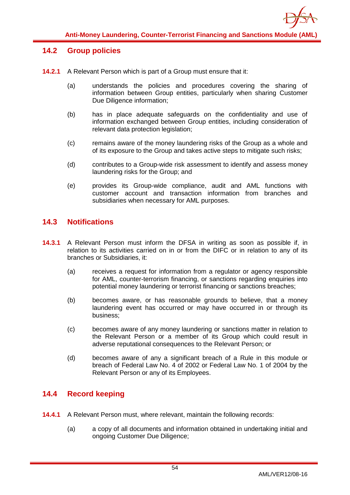![](_page_54_Picture_0.jpeg)

### <span id="page-54-0"></span>**14.2 Group policies**

- **14.2.1** A Relevant Person which is part of a Group must ensure that it:
	- (a) understands the policies and procedures covering the sharing of information between Group entities, particularly when sharing Customer Due Diligence information:
	- (b) has in place adequate safeguards on the confidentiality and use of information exchanged between Group entities, including consideration of relevant data protection legislation;
	- (c) remains aware of the money laundering risks of the Group as a whole and of its exposure to the Group and takes active steps to mitigate such risks;
	- (d) contributes to a Group-wide risk assessment to identify and assess money laundering risks for the Group; and
	- (e) provides its Group-wide compliance, audit and AML functions with customer account and transaction information from branches and subsidiaries when necessary for AML purposes.

### <span id="page-54-1"></span>**14.3 Notifications**

- **14.3.1** A Relevant Person must inform the DFSA in writing as soon as possible if, in relation to its activities carried on in or from the DIFC or in relation to any of its branches or Subsidiaries, it:
	- (a) receives a request for information from a regulator or agency responsible for AML, counter-terrorism financing, or sanctions regarding enquiries into potential money laundering or terrorist financing or sanctions breaches;
	- (b) becomes aware, or has reasonable grounds to believe, that a money laundering event has occurred or may have occurred in or through its business;
	- (c) becomes aware of any money laundering or sanctions matter in relation to the Relevant Person or a member of its Group which could result in adverse reputational consequences to the Relevant Person; or
	- (d) becomes aware of any a significant breach of a Rule in this module or breach of Federal Law No. 4 of 2002 or Federal Law No. 1 of 2004 by the Relevant Person or any of its Employees.

### <span id="page-54-2"></span>**14.4 Record keeping**

- **14.4.1** A Relevant Person must, where relevant, maintain the following records:
	- (a) a copy of all documents and information obtained in undertaking initial and ongoing Customer Due Diligence;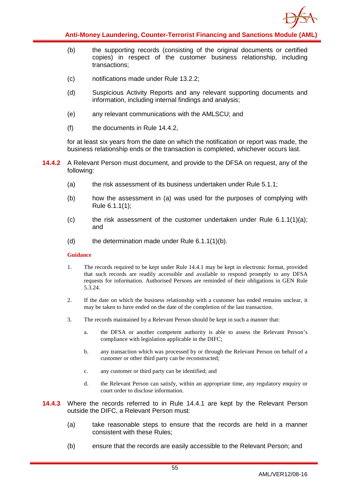![](_page_55_Picture_0.jpeg)

- (b) the supporting records (consisting of the original documents or certified copies) in respect of the customer business relationship, including transactions;
- (c) notifications made under Rule 13.2.2;
- (d) Suspicious Activity Reports and any relevant supporting documents and information, including internal findings and analysis;
- (e) any relevant communications with the AMLSCU; and
- (f) the documents in Rule 14.4.2,

for at least six years from the date on which the notification or report was made, the business relationship ends or the transaction is completed, whichever occurs last.

- **14.4.2** A Relevant Person must document, and provide to the DFSA on request, any of the following:
	- (a) the risk assessment of its business undertaken under Rule 5.1.1;
	- (b) how the assessment in (a) was used for the purposes of complying with Rule 6.1.1(1);
	- $\sigma$  the risk assessment of the customer undertaken under Rule 6.1.1(1)(a); and
	- (d) the determination made under Rule 6.1.1(1)(b).

- 1. The records required to be kept under Rule 14.4.1 may be kept in electronic format, provided that such records are readily accessible and available to respond promptly to any DFSA requests for information. Authorised Persons are reminded of their obligations in GEN Rule 5.3.24.
- 2. If the date on which the business relationship with a customer has ended remains unclear, it may be taken to have ended on the date of the completion of the last transaction.
- 3. The records maintained by a Relevant Person should be kept in such a manner that:
	- a. the DFSA or another competent authority is able to assess the Relevant Person's compliance with legislation applicable in the DIFC;
	- b. any transaction which was processed by or through the Relevant Person on behalf of a customer or other third party can be reconstructed;
	- c. any customer or third party can be identified; and
	- d. the Relevant Person can satisfy, within an appropriate time, any regulatory enquiry or court order to disclose information.
- **14.4.3** Where the records referred to in Rule 14.4.1 are kept by the Relevant Person outside the DIFC, a Relevant Person must:
	- (a) take reasonable steps to ensure that the records are held in a manner consistent with these Rules;
	- (b) ensure that the records are easily accessible to the Relevant Person; and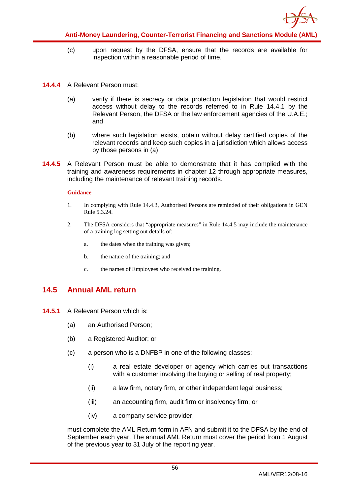![](_page_56_Picture_0.jpeg)

- (c) upon request by the DFSA, ensure that the records are available for inspection within a reasonable period of time.
- **14.4.4** A Relevant Person must:
	- (a) verify if there is secrecy or data protection legislation that would restrict access without delay to the records referred to in Rule 14.4.1 by the Relevant Person, the DFSA or the law enforcement agencies of the U.A.E.; and
	- (b) where such legislation exists, obtain without delay certified copies of the relevant records and keep such copies in a jurisdiction which allows access by those persons in (a).
- **14.4.5** A Relevant Person must be able to demonstrate that it has complied with the training and awareness requirements in chapter 12 through appropriate measures, including the maintenance of relevant training records.

#### **Guidance**

- 1. In complying with Rule 14.4.3, Authorised Persons are reminded of their obligations in GEN Rule 5.3.24.
- 2. The DFSA considers that "appropriate measures" in Rule 14.4.5 may include the maintenance of a training log setting out details of:
	- a. the dates when the training was given;
	- b. the nature of the training; and
	- c. the names of Employees who received the training.

### <span id="page-56-0"></span>**14.5 Annual AML return**

- **14.5.1** A Relevant Person which is:
	- (a) an Authorised Person;
	- (b) a Registered Auditor; or
	- (c) a person who is a DNFBP in one of the following classes:
		- (i) a real estate developer or agency which carries out transactions with a customer involving the buying or selling of real property;
		- (ii) a law firm, notary firm, or other independent legal business;
		- (iii) an accounting firm, audit firm or insolvency firm; or
		- (iv) a company service provider,

must complete the AML Return form in AFN and submit it to the DFSA by the end of September each year. The annual AML Return must cover the period from 1 August of the previous year to 31 July of the reporting year.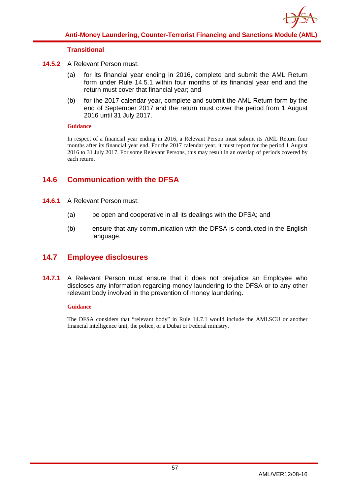![](_page_57_Picture_0.jpeg)

### **Transitional**

- **14.5.2** A Relevant Person must:
	- (a) for its financial year ending in 2016, complete and submit the AML Return form under Rule 14.5.1 within four months of its financial year end and the return must cover that financial year; and
	- (b) for the 2017 calendar year, complete and submit the AML Return form by the end of September 2017 and the return must cover the period from 1 August 2016 until 31 July 2017.

#### **Guidance**

<span id="page-57-0"></span>In respect of a financial year ending in 2016, a Relevant Person must submit its AML Return four months after its financial year end. For the 2017 calendar year, it must report for the period 1 August 2016 to 31 July 2017. For some Relevant Persons, this may result in an overlap of periods covered by each return.

### **14.6 Communication with the DFSA**

- **14.6.1** A Relevant Person must:
	- (a) be open and cooperative in all its dealings with the DFSA; and
	- (b) ensure that any communication with the DFSA is conducted in the English language.

### <span id="page-57-1"></span>**14.7 Employee disclosures**

**14.7.1** A Relevant Person must ensure that it does not prejudice an Employee who discloses any information regarding money laundering to the DFSA or to any other relevant body involved in the prevention of money laundering.

#### **Guidance**

The DFSA considers that "relevant body" in Rule 14.7.1 would include the AMLSCU or another financial intelligence unit, the police, or a Dubai or Federal ministry.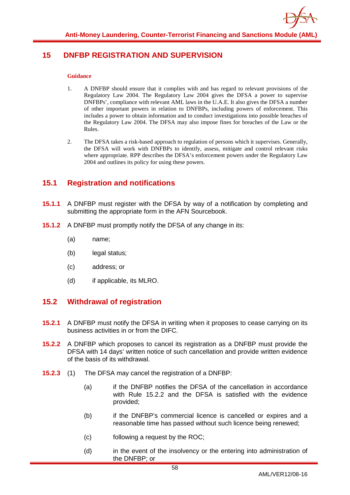![](_page_58_Picture_0.jpeg)

### <span id="page-58-0"></span>**15 DNFBP REGISTRATION AND SUPERVISION**

#### **Guidance**

- 1. A DNFBP should ensure that it complies with and has regard to relevant provisions of the Regulatory Law 2004. The Regulatory Law 2004 gives the DFSA a power to supervise DNFBPs', compliance with relevant AML laws in the U.A.E. It also gives the DFSA a number of other important powers in relation to DNFBPs, including powers of enforcement. This includes a power to obtain information and to conduct investigations into possible breaches of the Regulatory Law 2004. The DFSA may also impose fines for breaches of the Law or the Rules.
- 2. The DFSA takes a risk-based approach to regulation of persons which it supervises. Generally, the DFSA will work with DNFBPs to identify, assess, mitigate and control relevant risks where appropriate. RPP describes the DFSA's enforcement powers under the Regulatory Law 2004 and outlines its policy for using these powers.

### <span id="page-58-1"></span>**15.1 Registration and notifications**

- **15.1.1** A DNFBP must register with the DFSA by way of a notification by completing and submitting the appropriate form in the AFN Sourcebook.
- **15.1.2** A DNFBP must promptly notify the DFSA of any change in its:
	- (a) name;
	- (b) legal status;
	- (c) address; or
	- (d) if applicable, its MLRO.

### <span id="page-58-2"></span>**15.2 Withdrawal of registration**

- **15.2.1** A DNFBP must notify the DFSA in writing when it proposes to cease carrying on its business activities in or from the DIFC.
- **15.2.2** A DNFBP which proposes to cancel its registration as a DNFBP must provide the DFSA with 14 days' written notice of such cancellation and provide written evidence of the basis of its withdrawal.
- **15.2.3** (1) The DFSA may cancel the registration of a DNFBP:
	- (a) if the DNFBP notifies the DFSA of the cancellation in accordance with Rule 15.2.2 and the DFSA is satisfied with the evidence provided;
	- (b) if the DNFBP's commercial licence is cancelled or expires and a reasonable time has passed without such licence being renewed;
	- (c) following a request by the ROC;
	- (d) in the event of the insolvency or the entering into administration of the DNFBP; or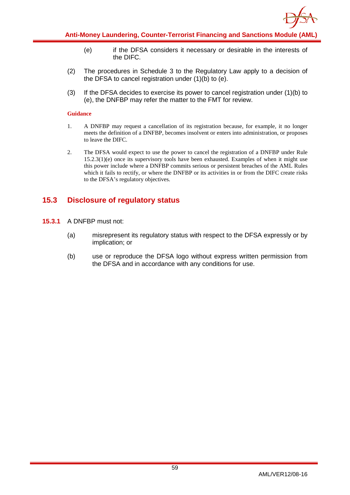![](_page_59_Picture_0.jpeg)

- (e) if the DFSA considers it necessary or desirable in the interests of the DIFC.
- (2) The procedures in Schedule 3 to the Regulatory Law apply to a decision of the DFSA to cancel registration under (1)(b) to (e).
- (3) If the DFSA decides to exercise its power to cancel registration under (1)(b) to (e), the DNFBP may refer the matter to the FMT for review.

#### **Guidance**

- 1. A DNFBP may request a cancellation of its registration because, for example, it no longer meets the definition of a DNFBP, becomes insolvent or enters into administration, or proposes to leave the DIFC.
- 2. The DFSA would expect to use the power to cancel the registration of a DNFBP under Rule 15.2.3(1)(e) once its supervisory tools have been exhausted. Examples of when it might use this power include where a DNFBP commits serious or persistent breaches of the AML Rules which it fails to rectify, or where the DNFBP or its activities in or from the DIFC create risks to the DFSA's regulatory objectives.

### <span id="page-59-0"></span>**15.3 Disclosure of regulatory status**

- **15.3.1** A DNFBP must not:
	- (a) misrepresent its regulatory status with respect to the DFSA expressly or by implication; or
	- (b) use or reproduce the DFSA logo without express written permission from the DFSA and in accordance with any conditions for use.